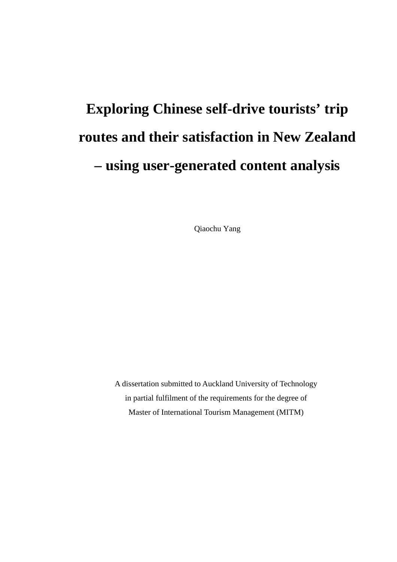# **Exploring Chinese self-drive tourists' trip routes and their satisfaction in New Zealand – using user-generated content analysis**

Qiaochu Yang

A dissertation submitted to Auckland University of Technology in partial fulfilment of the requirements for the degree of Master of International Tourism Management (MITM)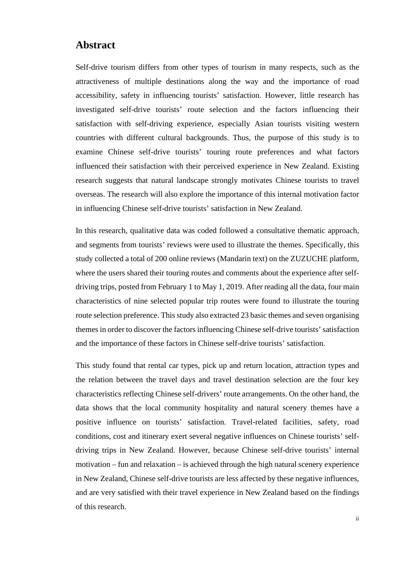#### <span id="page-1-0"></span>**Abstract**

Self-drive tourism differs from other types of tourism in many respects, such as the attractiveness of multiple destinations along the way and the importance of road accessibility, safety in influencing tourists' satisfaction. However, little research has investigated self-drive tourists' route selection and the factors influencing their satisfaction with self-driving experience, especially Asian tourists visiting western countries with different cultural backgrounds. Thus, the purpose of this study is to examine Chinese self-drive tourists' touring route preferences and what factors influenced their satisfaction with their perceived experience in New Zealand. Existing research suggests that natural landscape strongly motivates Chinese tourists to travel overseas. The research will also explore the importance of this internal motivation factor in influencing Chinese self-drive tourists' satisfaction in New Zealand.

In this research, qualitative data was coded followed a consultative thematic approach, and segments from tourists' reviews were used to illustrate the themes. Specifically, this study collected a total of 200 online reviews (Mandarin text) on the ZUZUCHE platform, where the users shared their touring routes and comments about the experience after selfdriving trips, posted from February 1 to May 1, 2019. After reading all the data, four main characteristics of nine selected popular trip routes were found to illustrate the touring route selection preference. This study also extracted 23 basic themes and seven organising themes in order to discover the factors influencing Chinese self-drive tourists' satisfaction and the importance of these factors in Chinese self-drive tourists' satisfaction.

This study found that rental car types, pick up and return location, attraction types and the relation between the travel days and travel destination selection are the four key characteristics reflecting Chinese self-drivers' route arrangements. On the other hand, the data shows that the local community hospitality and natural scenery themes have a positive influence on tourists' satisfaction. Travel-related facilities, safety, road conditions, cost and itinerary exert several negative influences on Chinese tourists' selfdriving trips in New Zealand. However, because Chinese self-drive tourists' internal motivation – fun and relaxation – is achieved through the high natural scenery experience in New Zealand, Chinese self-drive tourists are less affected by these negative influences, and are very satisfied with their travel experience in New Zealand based on the findings of this research.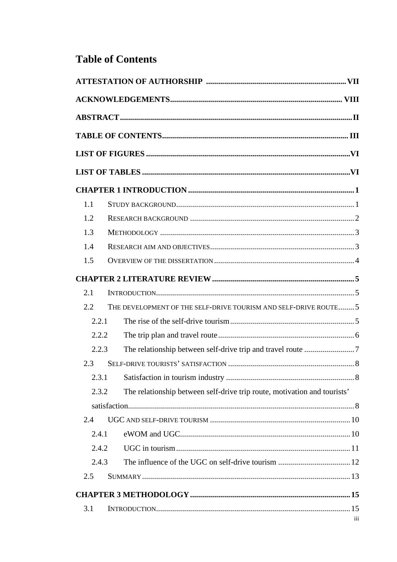# <span id="page-2-0"></span>**Table of Contents**

| 1.1   |                                                                          |     |
|-------|--------------------------------------------------------------------------|-----|
| 1.2   |                                                                          |     |
| 1.3   |                                                                          |     |
| 1.4   |                                                                          |     |
| 1.5   |                                                                          |     |
|       |                                                                          |     |
| 2.1   |                                                                          |     |
| 2.2   | THE DEVELOPMENT OF THE SELF-DRIVE TOURISM AND SELF-DRIVE ROUTE 5         |     |
| 2.2.1 |                                                                          |     |
| 2.2.2 |                                                                          |     |
| 2.2.3 |                                                                          |     |
| 2.3   |                                                                          |     |
| 2.3.1 |                                                                          |     |
| 2.3.2 | The relationship between self-drive trip route, motivation and tourists' |     |
|       |                                                                          |     |
| 2.4   |                                                                          |     |
| 2.4.1 |                                                                          |     |
| 2.4.2 |                                                                          |     |
| 2.4.3 |                                                                          |     |
| 2.5   |                                                                          |     |
|       |                                                                          |     |
| 3.1   |                                                                          |     |
|       |                                                                          | iii |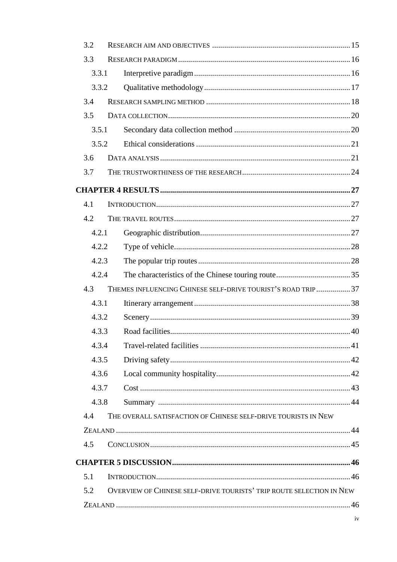| 3.2   |                                                                      |  |
|-------|----------------------------------------------------------------------|--|
| 3.3   |                                                                      |  |
| 3.3.1 |                                                                      |  |
| 3.3.2 |                                                                      |  |
| 3.4   |                                                                      |  |
| 3.5   |                                                                      |  |
| 3.5.1 |                                                                      |  |
| 3.5.2 |                                                                      |  |
| 3.6   |                                                                      |  |
| 3.7   |                                                                      |  |
|       |                                                                      |  |
| 4.1   |                                                                      |  |
| 4.2   |                                                                      |  |
| 4.2.1 |                                                                      |  |
| 4.2.2 |                                                                      |  |
| 4.2.3 |                                                                      |  |
| 4.2.4 |                                                                      |  |
| 4.3   | THEMES INFLUENCING CHINESE SELF-DRIVE TOURIST'S ROAD TRIP 37         |  |
| 4.3.1 |                                                                      |  |
| 4.3.2 |                                                                      |  |
| 4.3.3 |                                                                      |  |
| 4.3.4 |                                                                      |  |
| 4.3.5 |                                                                      |  |
| 4.3.6 |                                                                      |  |
| 4.3.7 |                                                                      |  |
| 4.3.8 |                                                                      |  |
| 4.4   | THE OVERALL SATISFACTION OF CHINESE SELF-DRIVE TOURISTS IN NEW       |  |
|       |                                                                      |  |
| 4.5   |                                                                      |  |
|       |                                                                      |  |
| 5.1   |                                                                      |  |
| 5.2   | OVERVIEW OF CHINESE SELF-DRIVE TOURISTS' TRIP ROUTE SELECTION IN NEW |  |
|       |                                                                      |  |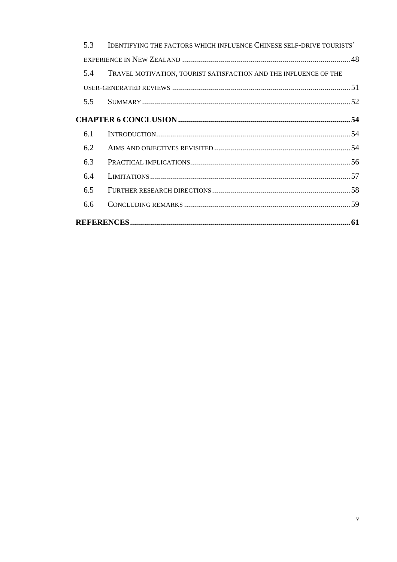| 5.3 | IDENTIFYING THE FACTORS WHICH INFLUENCE CHINESE SELF-DRIVE TOURISTS' |  |
|-----|----------------------------------------------------------------------|--|
|     |                                                                      |  |
| 5.4 | TRAVEL MOTIVATION, TOURIST SATISFACTION AND THE INFLUENCE OF THE     |  |
|     |                                                                      |  |
| 5.5 |                                                                      |  |
|     |                                                                      |  |
| 6.1 |                                                                      |  |
| 6.2 |                                                                      |  |
| 6.3 |                                                                      |  |
| 6.4 |                                                                      |  |
| 6.5 |                                                                      |  |
| 6.6 |                                                                      |  |
|     |                                                                      |  |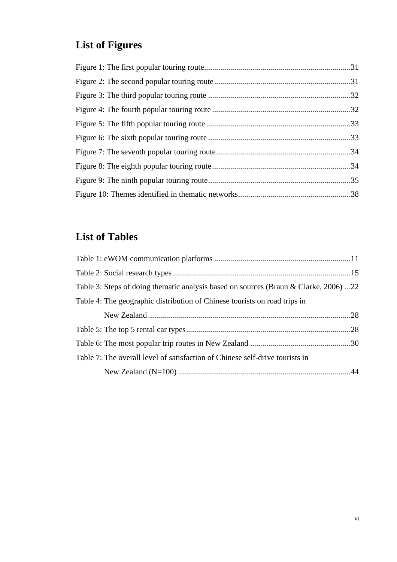# <span id="page-5-0"></span>**List of Figures**

# <span id="page-5-1"></span>**List of Tables**

| Table 3: Steps of doing thematic analysis based on sources (Braun & Clarke, 2006) 22 |  |
|--------------------------------------------------------------------------------------|--|
| Table 4: The geographic distribution of Chinese tourists on road trips in            |  |
|                                                                                      |  |
|                                                                                      |  |
|                                                                                      |  |
| Table 7: The overall level of satisfaction of Chinese self-drive tourists in         |  |
|                                                                                      |  |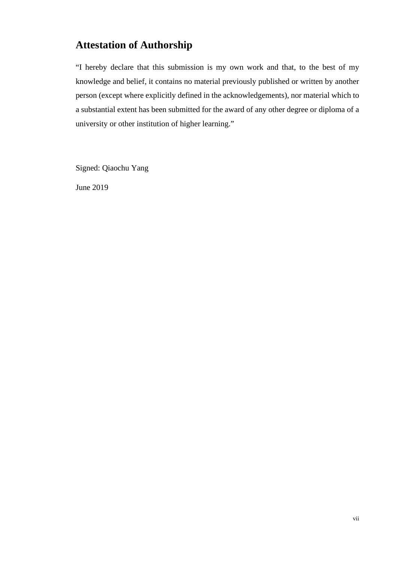# <span id="page-6-0"></span>**Attestation of Authorship**

"I hereby declare that this submission is my own work and that, to the best of my knowledge and belief, it contains no material previously published or written by another person (except where explicitly defined in the acknowledgements), nor material which to a substantial extent has been submitted for the award of any other degree or diploma of a university or other institution of higher learning."

Signed: Qiaochu Yang

June 2019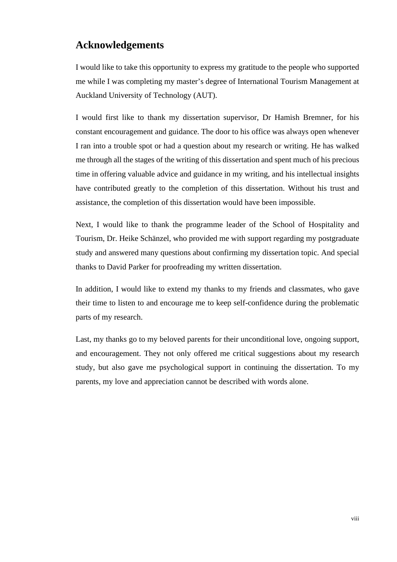## <span id="page-7-0"></span>**Acknowledgements**

I would like to take this opportunity to express my gratitude to the people who supported me while I was completing my master's degree of International Tourism Management at Auckland University of Technology (AUT).

I would first like to thank my dissertation supervisor, Dr Hamish Bremner, for his constant encouragement and guidance. The door to his office was always open whenever I ran into a trouble spot or had a question about my research or writing. He has walked me through all the stages of the writing of this dissertation and spent much of his precious time in offering valuable advice and guidance in my writing, and his intellectual insights have contributed greatly to the completion of this dissertation. Without his trust and assistance, the completion of this dissertation would have been impossible.

Next, I would like to thank the programme leader of the School of Hospitality and Tourism, Dr. Heike Schänzel, who provided me with support regarding my postgraduate study and answered many questions about confirming my dissertation topic. And special thanks to David Parker for proofreading my written dissertation.

In addition, I would like to extend my thanks to my friends and classmates, who gave their time to listen to and encourage me to keep self-confidence during the problematic parts of my research.

Last, my thanks go to my beloved parents for their unconditional love, ongoing support, and encouragement. They not only offered me critical suggestions about my research study, but also gave me psychological support in continuing the dissertation. To my parents, my love and appreciation cannot be described with words alone.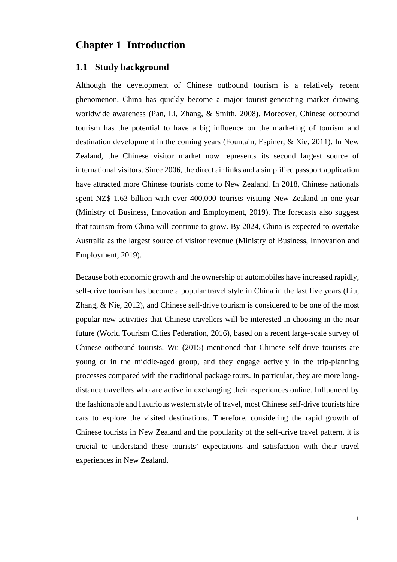# <span id="page-8-0"></span>**Chapter 1 Introduction**

#### <span id="page-8-1"></span>**1.1 Study background**

Although the development of Chinese outbound tourism is a relatively recent phenomenon, China has quickly become a major tourist-generating market drawing worldwide awareness (Pan, Li, Zhang, & Smith, 2008). Moreover, Chinese outbound tourism has the potential to have a big influence on the marketing of tourism and destination development in the coming years (Fountain, Espiner, & Xie, 2011). In New Zealand, the Chinese visitor market now represents its second largest source of international visitors. Since 2006, the direct air links and a simplified passport application have attracted more Chinese tourists come to New Zealand. In 2018, Chinese nationals spent NZ\$ 1.63 billion with over 400,000 tourists visiting New Zealand in one year (Ministry of Business, Innovation and Employment, 2019). The forecasts also suggest that tourism from China will continue to grow. By 2024, China is expected to overtake Australia as the largest source of visitor revenue (Ministry of Business, Innovation and Employment, 2019).

Because both economic growth and the ownership of automobiles have increased rapidly, self-drive tourism has become a popular travel style in China in the last five years (Liu, Zhang, & Nie, 2012), and Chinese self-drive tourism is considered to be one of the most popular new activities that Chinese travellers will be interested in choosing in the near future (World Tourism Cities Federation, 2016), based on a recent large-scale survey of Chinese outbound tourists. Wu (2015) mentioned that Chinese self-drive tourists are young or in the middle-aged group, and they engage actively in the trip-planning processes compared with the traditional package tours. In particular, they are more longdistance travellers who are active in exchanging their experiences online. Influenced by the fashionable and luxurious western style of travel, most Chinese self-drive tourists hire cars to explore the visited destinations. Therefore, considering the rapid growth of Chinese tourists in New Zealand and the popularity of the self-drive travel pattern, it is crucial to understand these tourists' expectations and satisfaction with their travel experiences in New Zealand.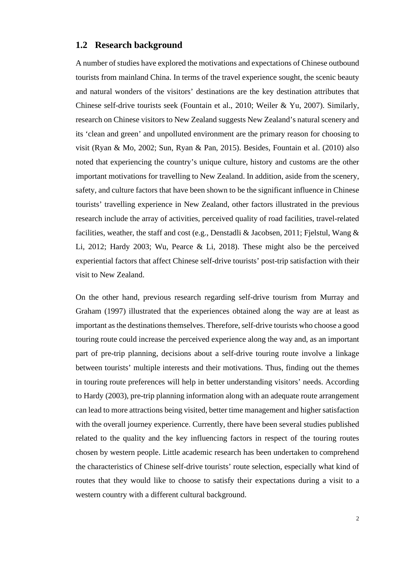#### <span id="page-9-0"></span>**1.2 Research background**

A number of studies have explored the motivations and expectations of Chinese outbound tourists from mainland China. In terms of the travel experience sought, the scenic beauty and natural wonders of the visitors' destinations are the key destination attributes that Chinese self-drive tourists seek (Fountain et al., 2010; Weiler & Yu, 2007). Similarly, research on Chinese visitors to New Zealand suggests New Zealand's natural scenery and its 'clean and green' and unpolluted environment are the primary reason for choosing to visit (Ryan & Mo, 2002; Sun, Ryan & Pan, 2015). Besides, Fountain et al. (2010) also noted that experiencing the country's unique culture, history and customs are the other important motivations for travelling to New Zealand. In addition, aside from the scenery, safety, and culture factors that have been shown to be the significant influence in Chinese tourists' travelling experience in New Zealand, other factors illustrated in the previous research include the array of activities, perceived quality of road facilities, travel-related facilities, weather, the staff and cost (e.g., Denstadli & Jacobsen, 2011; Fjelstul, Wang & Li, 2012; Hardy 2003; Wu, Pearce & Li, 2018). These might also be the perceived experiential factors that affect Chinese self-drive tourists' post-trip satisfaction with their visit to New Zealand.

On the other hand, previous research regarding self-drive tourism from Murray and Graham (1997) illustrated that the experiences obtained along the way are at least as important as the destinations themselves. Therefore, self-drive tourists who choose a good touring route could increase the perceived experience along the way and, as an important part of pre-trip planning, decisions about a self-drive touring route involve a linkage between tourists' multiple interests and their motivations. Thus, finding out the themes in touring route preferences will help in better understanding visitors' needs. According to Hardy (2003), pre-trip planning information along with an adequate route arrangement can lead to more attractions being visited, better time management and higher satisfaction with the overall journey experience. Currently, there have been several studies published related to the quality and the key influencing factors in respect of the touring routes chosen by western people. Little academic research has been undertaken to comprehend the characteristics of Chinese self-drive tourists' route selection, especially what kind of routes that they would like to choose to satisfy their expectations during a visit to a western country with a different cultural background.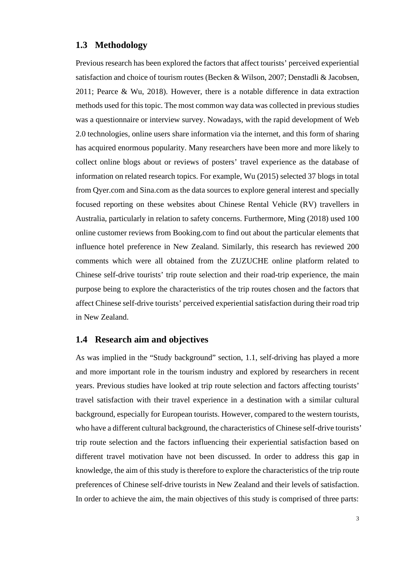#### <span id="page-10-0"></span>**1.3 Methodology**

Previous research has been explored the factors that affect tourists' perceived experiential satisfaction and choice of tourism routes (Becken & Wilson, 2007; Denstadli & Jacobsen, 2011; Pearce & Wu, 2018). However, there is a notable difference in data extraction methods used for this topic. The most common way data was collected in previous studies was a questionnaire or interview survey. Nowadays, with the rapid development of Web 2.0 technologies, online users share information via the internet, and this form of sharing has acquired enormous popularity. Many researchers have been more and more likely to collect online blogs about or reviews of posters' travel experience as the database of information on related research topics. For example, Wu (2015) selected 37 blogs in total from Qyer.com and Sina.com as the data sources to explore general interest and specially focused reporting on these websites about Chinese Rental Vehicle (RV) travellers in Australia, particularly in relation to safety concerns. Furthermore, Ming (2018) used 100 online customer reviews from Booking.com to find out about the particular elements that influence hotel preference in New Zealand. Similarly, this research has reviewed 200 comments which were all obtained from the ZUZUCHE online platform related to Chinese self-drive tourists' trip route selection and their road-trip experience, the main purpose being to explore the characteristics of the trip routes chosen and the factors that affect Chinese self-drive tourists' perceived experiential satisfaction during their road trip in New Zealand.

#### <span id="page-10-1"></span>**1.4 Research aim and objectives**

As was implied in the "Study background" section, 1.1, self-driving has played a more and more important role in the tourism industry and explored by researchers in recent years. Previous studies have looked at trip route selection and factors affecting tourists' travel satisfaction with their travel experience in a destination with a similar cultural background, especially for European tourists. However, compared to the western tourists, who have a different cultural background, the characteristics of Chinese self-drive tourists' trip route selection and the factors influencing their experiential satisfaction based on different travel motivation have not been discussed. In order to address this gap in knowledge, the aim of this study is therefore to explore the characteristics of the trip route preferences of Chinese self-drive tourists in New Zealand and their levels of satisfaction. In order to achieve the aim, the main objectives of this study is comprised of three parts: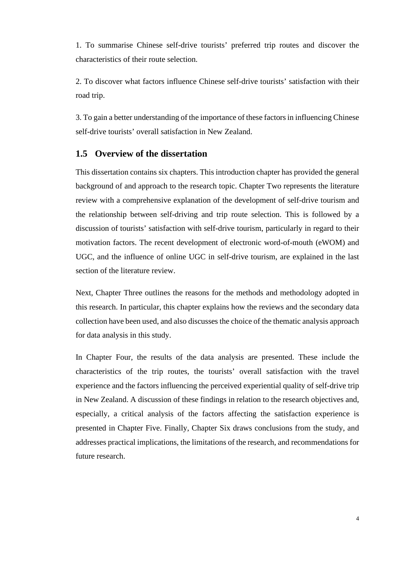1. To summarise Chinese self-drive tourists' preferred trip routes and discover the characteristics of their route selection.

2. To discover what factors influence Chinese self-drive tourists' satisfaction with their road trip.

3. To gain a better understanding of the importance of these factors in influencing Chinese self-drive tourists' overall satisfaction in New Zealand.

#### <span id="page-11-0"></span>**1.5 Overview of the dissertation**

This dissertation contains six chapters. This introduction chapter has provided the general background of and approach to the research topic. Chapter Two represents the literature review with a comprehensive explanation of the development of self-drive tourism and the relationship between self-driving and trip route selection. This is followed by a discussion of tourists' satisfaction with self-drive tourism, particularly in regard to their motivation factors. The recent development of electronic word-of-mouth (eWOM) and UGC, and the influence of online UGC in self-drive tourism, are explained in the last section of the literature review.

Next, Chapter Three outlines the reasons for the methods and methodology adopted in this research. In particular, this chapter explains how the reviews and the secondary data collection have been used, and also discusses the choice of the thematic analysis approach for data analysis in this study.

In Chapter Four, the results of the data analysis are presented. These include the characteristics of the trip routes, the tourists' overall satisfaction with the travel experience and the factors influencing the perceived experiential quality of self-drive trip in New Zealand. A discussion of these findings in relation to the research objectives and, especially, a critical analysis of the factors affecting the satisfaction experience is presented in Chapter Five. Finally, Chapter Six draws conclusions from the study, and addresses practical implications, the limitations of the research, and recommendations for future research.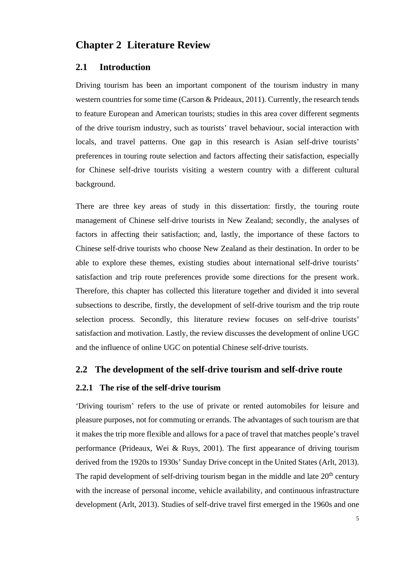# <span id="page-12-0"></span>**Chapter 2 Literature Review**

#### <span id="page-12-1"></span>**2.1 Introduction**

Driving tourism has been an important component of the tourism industry in many western countries for some time (Carson & Prideaux, 2011). Currently, the research tends to feature European and American tourists; studies in this area cover different segments of the drive tourism industry, such as tourists' travel behaviour, social interaction with locals, and travel patterns. One gap in this research is Asian self-drive tourists' preferences in touring route selection and factors affecting their satisfaction, especially for Chinese self-drive tourists visiting a western country with a different cultural background.

There are three key areas of study in this dissertation: firstly, the touring route management of Chinese self-drive tourists in New Zealand; secondly, the analyses of factors in affecting their satisfaction; and, lastly, the importance of these factors to Chinese self-drive tourists who choose New Zealand as their destination. In order to be able to explore these themes, existing studies about international self-drive tourists' satisfaction and trip route preferences provide some directions for the present work. Therefore, this chapter has collected this literature together and divided it into several subsections to describe, firstly, the development of self-drive tourism and the trip route selection process. Secondly, this literature review focuses on self-drive tourists' satisfaction and motivation. Lastly, the review discusses the development of online UGC and the influence of online UGC on potential Chinese self-drive tourists.

#### <span id="page-12-2"></span>**2.2 The development of the self-drive tourism and self-drive route**

#### <span id="page-12-3"></span>**2.2.1 The rise of the self-drive tourism**

'Driving tourism' refers to the use of private or rented automobiles for leisure and pleasure purposes, not for commuting or errands. The advantages of such tourism are that it makes the trip more flexible and allows for a pace of travel that matches people's travel performance (Prideaux, Wei & Ruys, 2001). The first appearance of driving tourism derived from the 1920s to 1930s' Sunday Drive concept in the United States (Arlt, 2013). The rapid development of self-driving tourism began in the middle and late  $20<sup>th</sup>$  century with the increase of personal income, vehicle availability, and continuous infrastructure development (Arlt, 2013). Studies of self-drive travel first emerged in the 1960s and one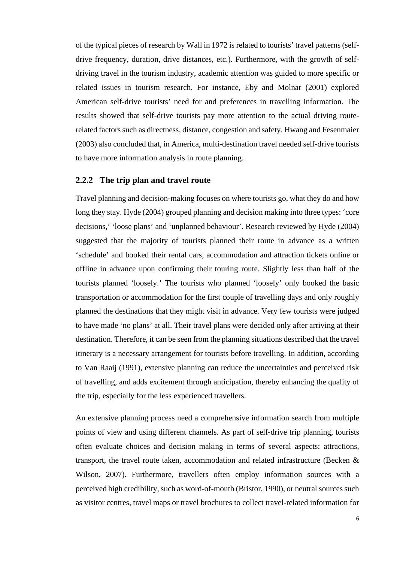of the typical pieces of research by Wall in 1972 is related to tourists' travel patterns (selfdrive frequency, duration, drive distances, etc.). Furthermore, with the growth of selfdriving travel in the tourism industry, academic attention was guided to more specific or related issues in tourism research. For instance, Eby and Molnar (2001) explored American self-drive tourists' need for and preferences in travelling information. The results showed that self-drive tourists pay more attention to the actual driving routerelated factors such as directness, distance, congestion and safety. Hwang and Fesenmaier (2003) also concluded that, in America, multi-destination travel needed self-drive tourists to have more information analysis in route planning.

#### <span id="page-13-0"></span>**2.2.2 The trip plan and travel route**

Travel planning and decision-making focuses on where tourists go, what they do and how long they stay. Hyde (2004) grouped planning and decision making into three types: 'core decisions,' 'loose plans' and 'unplanned behaviour'. Research reviewed by Hyde (2004) suggested that the majority of tourists planned their route in advance as a written 'schedule' and booked their rental cars, accommodation and attraction tickets online or offline in advance upon confirming their touring route. Slightly less than half of the tourists planned 'loosely.' The tourists who planned 'loosely' only booked the basic transportation or accommodation for the first couple of travelling days and only roughly planned the destinations that they might visit in advance. Very few tourists were judged to have made 'no plans' at all. Their travel plans were decided only after arriving at their destination. Therefore, it can be seen from the planning situations described that the travel itinerary is a necessary arrangement for tourists before travelling. In addition, according to Van Raaij (1991), extensive planning can reduce the uncertainties and perceived risk of travelling, and adds excitement through anticipation, thereby enhancing the quality of the trip, especially for the less experienced travellers.

An extensive planning process need a comprehensive information search from multiple points of view and using different channels. As part of self-drive trip planning, tourists often evaluate choices and decision making in terms of several aspects: attractions, transport, the travel route taken, accommodation and related infrastructure (Becken & Wilson, 2007). Furthermore, travellers often employ information sources with a perceived high credibility, such as word-of-mouth (Bristor, 1990), or neutral sources such as visitor centres, travel maps or travel brochures to collect travel-related information for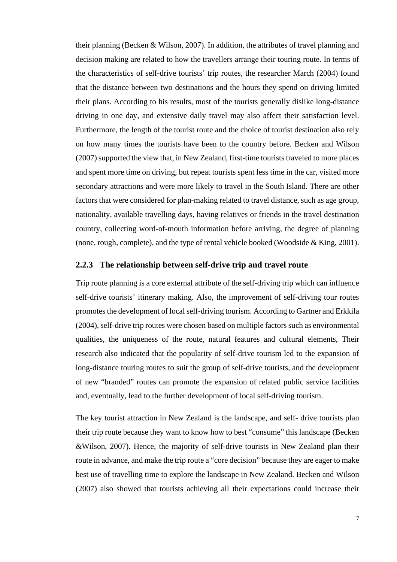their planning (Becken & Wilson, 2007). In addition, the attributes of travel planning and decision making are related to how the travellers arrange their touring route. In terms of the characteristics of self-drive tourists' trip routes, the researcher March (2004) found that the distance between two destinations and the hours they spend on driving limited their plans. According to his results, most of the tourists generally dislike long-distance driving in one day, and extensive daily travel may also affect their satisfaction level. Furthermore, the length of the tourist route and the choice of tourist destination also rely on how many times the tourists have been to the country before. Becken and Wilson (2007) supported the view that, in New Zealand, first-time tourists traveled to more places and spent more time on driving, but repeat tourists spent less time in the car, visited more secondary attractions and were more likely to travel in the South Island. There are other factors that were considered for plan-making related to travel distance, such as age group, nationality, available travelling days, having relatives or friends in the travel destination country, collecting word-of-mouth information before arriving, the degree of planning (none, rough, complete), and the type of rental vehicle booked (Woodside & King, 2001).

#### <span id="page-14-0"></span>**2.2.3 The relationship between self-drive trip and travel route**

Trip route planning is a core external attribute of the self-driving trip which can influence self-drive tourists' itinerary making. Also, the improvement of self-driving tour routes promotes the development of local self-driving tourism. According to Gartner and Erkkila (2004), self-drive trip routes were chosen based on multiple factors such as environmental qualities, the uniqueness of the route, natural features and cultural elements, Their research also indicated that the popularity of self-drive tourism led to the expansion of long-distance touring routes to suit the group of self-drive tourists, and the development of new "branded" routes can promote the expansion of related public service facilities and, eventually, lead to the further development of local self-driving tourism.

The key tourist attraction in New Zealand is the landscape, and self- drive tourists plan their trip route because they want to know how to best "consume" this landscape (Becken &Wilson, 2007). Hence, the majority of self-drive tourists in New Zealand plan their route in advance, and make the trip route a "core decision" because they are eager to make best use of travelling time to explore the landscape in New Zealand. Becken and Wilson (2007) also showed that tourists achieving all their expectations could increase their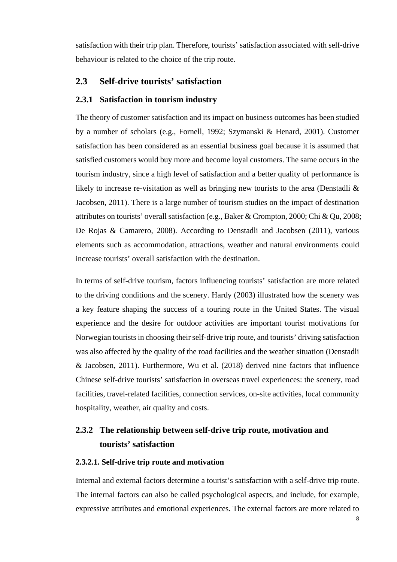satisfaction with their trip plan. Therefore, tourists' satisfaction associated with self-drive behaviour is related to the choice of the trip route.

#### <span id="page-15-0"></span>**2.3 Self-drive tourists' satisfaction**

#### <span id="page-15-1"></span>**2.3.1 Satisfaction in tourism industry**

The theory of customer satisfaction and its impact on business outcomes has been studied by a number of scholars (e.g., Fornell, 1992; Szymanski & Henard, 2001). Customer satisfaction has been considered as an essential business goal because it is assumed that satisfied customers would buy more and become loyal customers. The same occurs in the tourism industry, since a high level of satisfaction and a better quality of performance is likely to increase re-visitation as well as bringing new tourists to the area (Denstadli & Jacobsen, 2011). There is a large number of tourism studies on the impact of destination attributes on tourists' overall satisfaction (e.g., Baker & Crompton, 2000; Chi & Qu, 2008; De Rojas & Camarero, 2008). According to Denstadli and Jacobsen (2011), various elements such as accommodation, attractions, weather and natural environments could increase tourists' overall satisfaction with the destination.

In terms of self-drive tourism, factors influencing tourists' satisfaction are more related to the driving conditions and the scenery. Hardy (2003) illustrated how the scenery was a key feature shaping the success of a touring route in the United States. The visual experience and the desire for outdoor activities are important tourist motivations for Norwegian tourists in choosing their self-drive trip route, and tourists' driving satisfaction was also affected by the quality of the road facilities and the weather situation (Denstadli & Jacobsen, 2011). Furthermore, Wu et al. (2018) derived nine factors that influence Chinese self-drive tourists' satisfaction in overseas travel experiences: the scenery, road facilities, travel-related facilities, connection services, on-site activities, local community hospitality, weather, air quality and costs.

# <span id="page-15-2"></span>**2.3.2 The relationship between self-drive trip route, motivation and tourists' satisfaction**

#### **2.3.2.1. Self-drive trip route and motivation**

Internal and external factors determine a tourist's satisfaction with a self-drive trip route. The internal factors can also be called psychological aspects, and include, for example, expressive attributes and emotional experiences. The external factors are more related to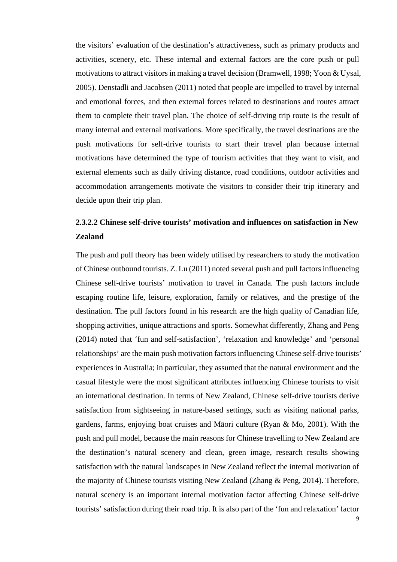the visitors' evaluation of the destination's attractiveness, such as primary products and activities, scenery, etc. These internal and external factors are the core push or pull motivations to attract visitors in making a travel decision (Bramwell, 1998; Yoon & Uysal, 2005). Denstadli and Jacobsen (2011) noted that people are impelled to travel by internal and emotional forces, and then external forces related to destinations and routes attract them to complete their travel plan. The choice of self-driving trip route is the result of many internal and external motivations. More specifically, the travel destinations are the push motivations for self-drive tourists to start their travel plan because internal motivations have determined the type of tourism activities that they want to visit, and external elements such as daily driving distance, road conditions, outdoor activities and accommodation arrangements motivate the visitors to consider their trip itinerary and decide upon their trip plan.

## **2.3.2.2 Chinese self-drive tourists' motivation and influences on satisfaction in New Zealand**

The push and pull theory has been widely utilised by researchers to study the motivation of Chinese outbound tourists. Z. Lu (2011) noted several push and pull factors influencing Chinese self-drive tourists' motivation to travel in Canada. The push factors include escaping routine life, leisure, exploration, family or relatives, and the prestige of the destination. The pull factors found in his research are the high quality of Canadian life, shopping activities, unique attractions and sports. Somewhat differently, Zhang and Peng (2014) noted that 'fun and self-satisfaction', 'relaxation and knowledge' and 'personal relationships' are the main push motivation factors influencing Chinese self-drive tourists' experiences in Australia; in particular, they assumed that the natural environment and the casual lifestyle were the most significant attributes influencing Chinese tourists to visit an international destination. In terms of New Zealand, Chinese self-drive tourists derive satisfaction from sightseeing in nature-based settings, such as visiting national parks, gardens, farms, enjoying boat cruises and Māori culture (Ryan & Mo, 2001). With the push and pull model, because the main reasons for Chinese travelling to New Zealand are the destination's natural scenery and clean, green image, research results showing satisfaction with the natural landscapes in New Zealand reflect the internal motivation of the majority of Chinese tourists visiting New Zealand (Zhang & Peng, 2014). Therefore, natural scenery is an important internal motivation factor affecting Chinese self-drive tourists' satisfaction during their road trip. It is also part of the 'fun and relaxation' factor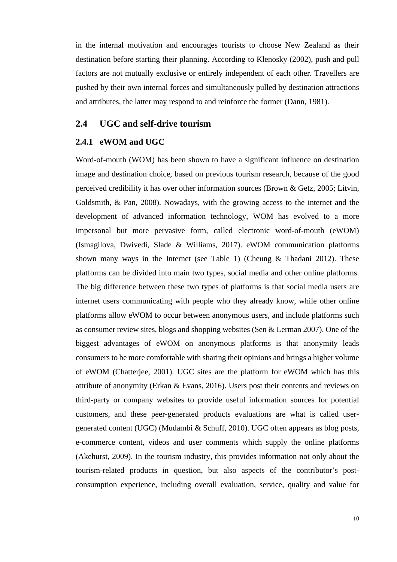in the internal motivation and encourages tourists to choose New Zealand as their destination before starting their planning. According to Klenosky (2002), push and pull factors are not mutually exclusive or entirely independent of each other. Travellers are pushed by their own internal forces and simultaneously pulled by destination attractions and attributes, the latter may respond to and reinforce the former (Dann, 1981).

#### <span id="page-17-0"></span>**2.4 UGC and self-drive tourism**

#### <span id="page-17-1"></span>**2.4.1 eWOM and UGC**

Word-of-mouth (WOM) has been shown to have a significant influence on destination image and destination choice, based on previous tourism research, because of the good perceived credibility it has over other information sources (Brown & Getz, 2005; Litvin, Goldsmith, & Pan, 2008). Nowadays, with the growing access to the internet and the development of advanced information technology, WOM has evolved to a more impersonal but more pervasive form, called electronic word-of-mouth (eWOM) (Ismagilova, Dwivedi, Slade & Williams, 2017). eWOM communication platforms shown many ways in the Internet (see [Table 1\)](#page-18-1) (Cheung & Thadani 2012). These platforms can be divided into main two types, social media and other online platforms. The big difference between these two types of platforms is that social media users are internet users communicating with people who they already know, while other online platforms allow eWOM to occur between anonymous users, and include platforms such as consumer review sites, blogs and shopping websites (Sen & Lerman 2007). One of the biggest advantages of eWOM on anonymous platforms is that anonymity leads consumers to be more comfortable with sharing their opinions and brings a higher volume of eWOM (Chatterjee, 2001). UGC sites are the platform for eWOM which has this attribute of anonymity (Erkan & Evans, 2016). Users post their contents and reviews on third-party or company websites to provide useful information sources for potential customers, and these peer-generated products evaluations are what is called usergenerated content (UGC) (Mudambi & Schuff, 2010). UGC often appears as blog posts, e-commerce content, videos and user comments which supply the online platforms (Akehurst, 2009). In the tourism industry, this provides information not only about the tourism-related products in question, but also aspects of the contributor's postconsumption experience, including overall evaluation, service, quality and value for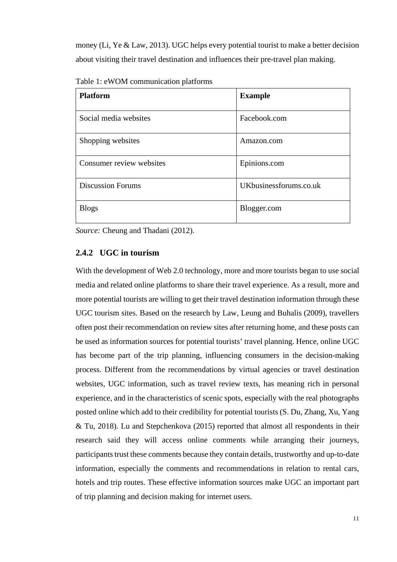money (Li, Ye & Law, 2013). UGC helps every potential tourist to make a better decision about visiting their travel destination and influences their pre-travel plan making.

| <b>Platform</b>          | <b>Example</b>         |
|--------------------------|------------------------|
| Social media websites    | Facebook.com           |
| Shopping websites        | Amazon.com             |
| Consumer review websites | Epinions.com           |
| <b>Discussion Forums</b> | UKbusinessforums.co.uk |
| <b>Blogs</b>             | Blogger.com            |

<span id="page-18-1"></span>Table 1: eWOM communication platforms

*Source:* Cheung and Thadani (2012).

#### <span id="page-18-0"></span>**2.4.2 UGC in tourism**

With the development of Web 2.0 technology, more and more tourists began to use social media and related online platforms to share their travel experience. As a result, more and more potential tourists are willing to get their travel destination information through these UGC tourism sites. Based on the research by Law, Leung and Buhalis (2009), travellers often post their recommendation on review sites after returning home, and these posts can be used as information sources for potential tourists' travel planning. Hence, online UGC has become part of the trip planning, influencing consumers in the decision-making process. Different from the recommendations by virtual agencies or travel destination websites, UGC information, such as travel review texts, has meaning rich in personal experience, and in the characteristics of scenic spots, especially with the real photographs posted online which add to their credibility for potential tourists (S. Du, Zhang, Xu, Yang & Tu, 2018). Lu and Stepchenkova (2015) reported that almost all respondents in their research said they will access online comments while arranging their journeys, participants trust these comments because they contain details, trustworthy and up-to-date information, especially the comments and recommendations in relation to rental cars, hotels and trip routes. These effective information sources make UGC an important part of trip planning and decision making for internet users.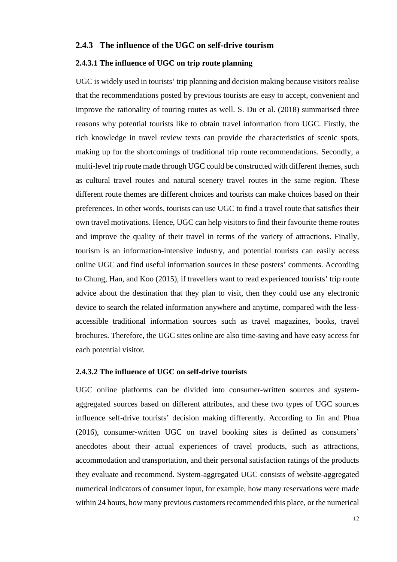#### <span id="page-19-0"></span>**2.4.3 The influence of the UGC on self-drive tourism**

#### **2.4.3.1 The influence of UGC on trip route planning**

UGC is widely used in tourists' trip planning and decision making because visitors realise that the recommendations posted by previous tourists are easy to accept, convenient and improve the rationality of touring routes as well. S. Du et al. (2018) summarised three reasons why potential tourists like to obtain travel information from UGC. Firstly, the rich knowledge in travel review texts can provide the characteristics of scenic spots, making up for the shortcomings of traditional trip route recommendations. Secondly, a multi-level trip route made through UGC could be constructed with different themes, such as cultural travel routes and natural scenery travel routes in the same region. These different route themes are different choices and tourists can make choices based on their preferences. In other words, tourists can use UGC to find a travel route that satisfies their own travel motivations. Hence, UGC can help visitors to find their favourite theme routes and improve the quality of their travel in terms of the variety of attractions. Finally, tourism is an information-intensive industry, and potential tourists can easily access online UGC and find useful information sources in these posters' comments. According to Chung, Han, and Koo (2015), if travellers want to read experienced tourists' trip route advice about the destination that they plan to visit, then they could use any electronic device to search the related information anywhere and anytime, compared with the lessaccessible traditional information sources such as travel magazines, books, travel brochures. Therefore, the UGC sites online are also time-saving and have easy access for each potential visitor.

#### **2.4.3.2 The influence of UGC on self-drive tourists**

UGC online platforms can be divided into consumer-written sources and systemaggregated sources based on different attributes, and these two types of UGC sources influence self-drive tourists' decision making differently. According to Jin and Phua (2016), consumer-written UGC on travel booking sites is defined as consumers' anecdotes about their actual experiences of travel products, such as attractions, accommodation and transportation, and their personal satisfaction ratings of the products they evaluate and recommend. System-aggregated UGC consists of website-aggregated numerical indicators of consumer input, for example, how many reservations were made within 24 hours, how many previous customers recommended this place, or the numerical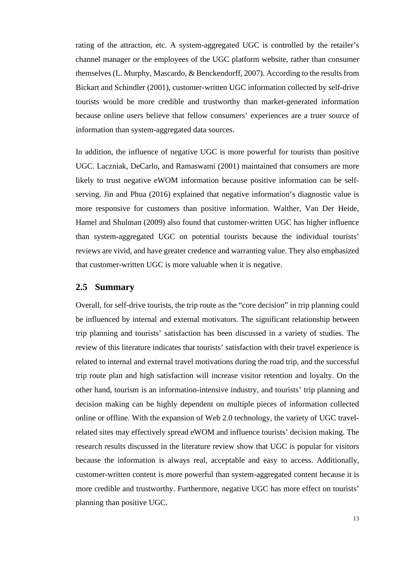rating of the attraction, etc. A system-aggregated UGC is controlled by the retailer's channel manager or the employees of the UGC platform website, rather than consumer themselves (L. Murphy, Mascardo, & Benckendorff, 2007). According to the results from Bickart and Schindler (2001), customer-written UGC information collected by self-drive tourists would be more credible and trustworthy than market-generated information because online users believe that fellow consumers' experiences are a truer source of information than system-aggregated data sources.

In addition, the influence of negative UGC is more powerful for tourists than positive UGC. Laczniak, DeCarlo, and Ramaswami (2001) maintained that consumers are more likely to trust negative eWOM information because positive information can be selfserving. Jin and Phua (2016) explained that negative information's diagnostic value is more responsive for customers than positive information. Walther, Van Der Heide, Hamel and Shulman (2009) also found that customer-written UGC has higher influence than system-aggregated UGC on potential tourists because the individual tourists' reviews are vivid, and have greater credence and warranting value. They also emphasized that customer-written UGC is more valuable when it is negative.

#### <span id="page-20-0"></span>**2.5 Summary**

Overall, for self-drive tourists, the trip route as the "core decision" in trip planning could be influenced by internal and external motivators. The significant relationship between trip planning and tourists' satisfaction has been discussed in a variety of studies. The review of this literature indicates that tourists' satisfaction with their travel experience is related to internal and external travel motivations during the road trip, and the successful trip route plan and high satisfaction will increase visitor retention and loyalty. On the other hand, tourism is an information-intensive industry, and tourists' trip planning and decision making can be highly dependent on multiple pieces of information collected online or offline. With the expansion of Web 2.0 technology, the variety of UGC travelrelated sites may effectively spread eWOM and influence tourists' decision making. The research results discussed in the literature review show that UGC is popular for visitors because the information is always real, acceptable and easy to access. Additionally, customer-written content is more powerful than system-aggregated content because it is more credible and trustworthy. Furthermore, negative UGC has more effect on tourists' planning than positive UGC.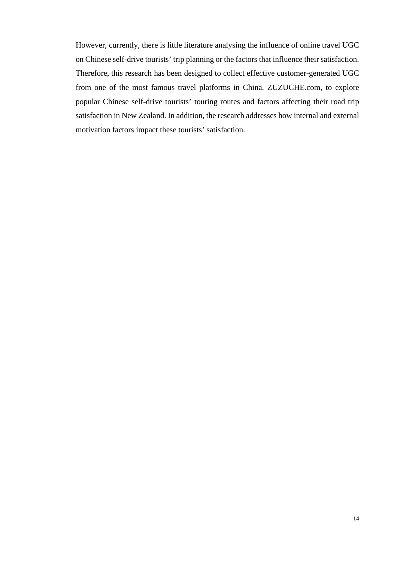However, currently, there is little literature analysing the influence of online travel UGC on Chinese self-drive tourists' trip planning or the factors that influence their satisfaction. Therefore, this research has been designed to collect effective customer-generated UGC from one of the most famous travel platforms in China, ZUZUCHE.com, to explore popular Chinese self-drive tourists' touring routes and factors affecting their road trip satisfaction in New Zealand. In addition, the research addresses how internal and external motivation factors impact these tourists' satisfaction.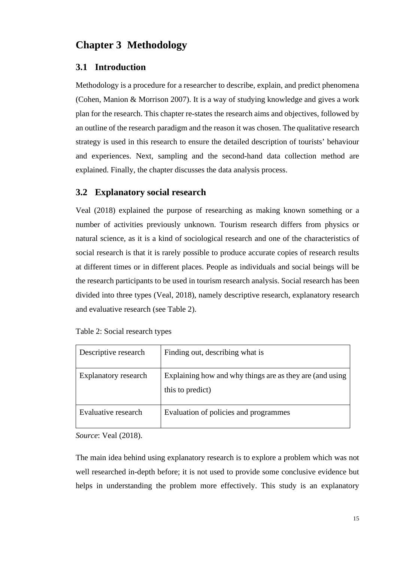# <span id="page-22-0"></span>**Chapter 3 Methodology**

#### <span id="page-22-1"></span>**3.1 Introduction**

Methodology is a procedure for a researcher to describe, explain, and predict phenomena (Cohen, Manion & Morrison 2007). It is a way of studying knowledge and gives a work plan for the research. This chapter re-states the research aims and objectives, followed by an outline of the research paradigm and the reason it was chosen. The qualitative research strategy is used in this research to ensure the detailed description of tourists' behaviour and experiences. Next, sampling and the second-hand data collection method are explained. Finally, the chapter discusses the data analysis process.

#### <span id="page-22-2"></span>**3.2 Explanatory social research**

Veal (2018) explained the purpose of researching as making known something or a number of activities previously unknown. Tourism research differs from physics or natural science, as it is a kind of sociological research and one of the characteristics of social research is that it is rarely possible to produce accurate copies of research results at different times or in different places. People as individuals and social beings will be the research participants to be used in tourism research analysis. Social research has been divided into three types (Veal, 2018), namely descriptive research, explanatory research and evaluative research (see [Table 2\)](#page-22-3).

<span id="page-22-3"></span>

| Descriptive research | Finding out, describing what is                                              |
|----------------------|------------------------------------------------------------------------------|
| Explanatory research | Explaining how and why things are as they are (and using<br>this to predict) |
| Evaluative research  | Evaluation of policies and programmes                                        |

*Source*: Veal (2018).

The main idea behind using explanatory research is to explore a problem which was not well researched in-depth before; it is not used to provide some conclusive evidence but helps in understanding the problem more effectively. This study is an explanatory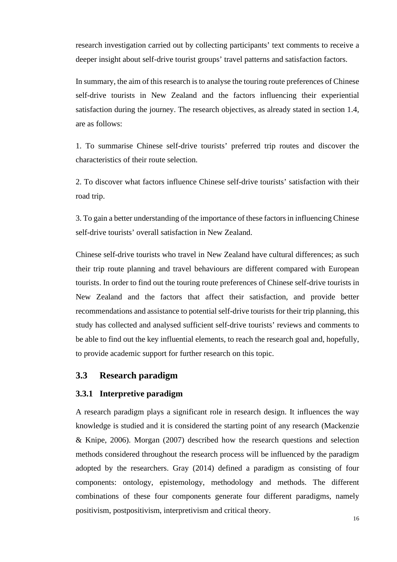research investigation carried out by collecting participants' text comments to receive a deeper insight about self-drive tourist groups' travel patterns and satisfaction factors.

In summary, the aim of this research is to analyse the touring route preferences of Chinese self-drive tourists in New Zealand and the factors influencing their experiential satisfaction during the journey. The research objectives, as already stated in section 1.4, are as follows:

1. To summarise Chinese self-drive tourists' preferred trip routes and discover the characteristics of their route selection.

2. To discover what factors influence Chinese self-drive tourists' satisfaction with their road trip.

3. To gain a better understanding of the importance of these factors in influencing Chinese self-drive tourists' overall satisfaction in New Zealand.

Chinese self-drive tourists who travel in New Zealand have cultural differences; as such their trip route planning and travel behaviours are different compared with European tourists. In order to find out the touring route preferences of Chinese self-drive tourists in New Zealand and the factors that affect their satisfaction, and provide better recommendations and assistance to potential self-drive tourists for their trip planning, this study has collected and analysed sufficient self-drive tourists' reviews and comments to be able to find out the key influential elements, to reach the research goal and, hopefully, to provide academic support for further research on this topic.

#### <span id="page-23-0"></span>**3.3 Research paradigm**

#### <span id="page-23-1"></span>**3.3.1 Interpretive paradigm**

A research paradigm plays a significant role in research design. It influences the way knowledge is studied and it is considered the starting point of any research (Mackenzie & Knipe, 2006). Morgan (2007) described how the research questions and selection methods considered throughout the research process will be influenced by the paradigm adopted by the researchers. Gray (2014) defined a paradigm as consisting of four components: ontology, epistemology, methodology and methods. The different combinations of these four components generate four different paradigms, namely positivism, postpositivism, interpretivism and critical theory.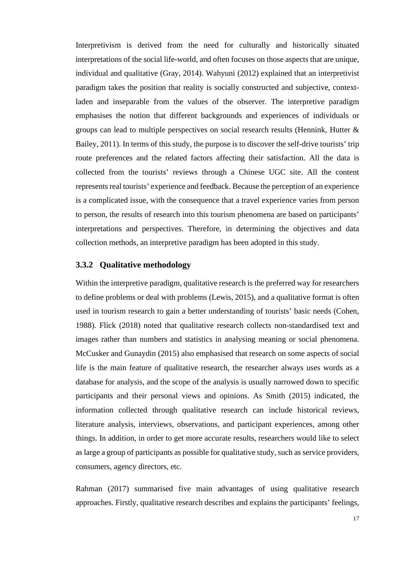Interpretivism is derived from the need for culturally and historically situated interpretations of the social life-world, and often focuses on those aspects that are unique, individual and qualitative (Gray, 2014). Wahyuni (2012) explained that an interpretivist paradigm takes the position that reality is socially constructed and subjective, contextladen and inseparable from the values of the observer. The interpretive paradigm emphasises the notion that different backgrounds and experiences of individuals or groups can lead to multiple perspectives on social research results (Hennink, Hutter & Bailey, 2011). In terms of this study, the purpose is to discover the self-drive tourists' trip route preferences and the related factors affecting their satisfaction. All the data is collected from the tourists' reviews through a Chinese UGC site. All the content represents real tourists' experience and feedback. Because the perception of an experience is a complicated issue, with the consequence that a travel experience varies from person to person, the results of research into this tourism phenomena are based on participants' interpretations and perspectives. Therefore, in determining the objectives and data collection methods, an interpretive paradigm has been adopted in this study.

#### <span id="page-24-0"></span>**3.3.2 Qualitative methodology**

Within the interpretive paradigm, qualitative research is the preferred way for researchers to define problems or deal with problems (Lewis, 2015), and a qualitative format is often used in tourism research to gain a better understanding of tourists' basic needs (Cohen, 1988). Flick (2018) noted that qualitative research collects non-standardised text and images rather than numbers and statistics in analysing meaning or social phenomena. McCusker and Gunaydin (2015) also emphasised that research on some aspects of social life is the main feature of qualitative research, the researcher always uses words as a database for analysis, and the scope of the analysis is usually narrowed down to specific participants and their personal views and opinions. As Smith (2015) indicated, the information collected through qualitative research can include historical reviews, literature analysis, interviews, observations, and participant experiences, among other things. In addition, in order to get more accurate results, researchers would like to select as large a group of participants as possible for qualitative study, such as service providers, consumers, agency directors, etc.

Rahman (2017) summarised five main advantages of using qualitative research approaches. Firstly, qualitative research describes and explains the participants' feelings,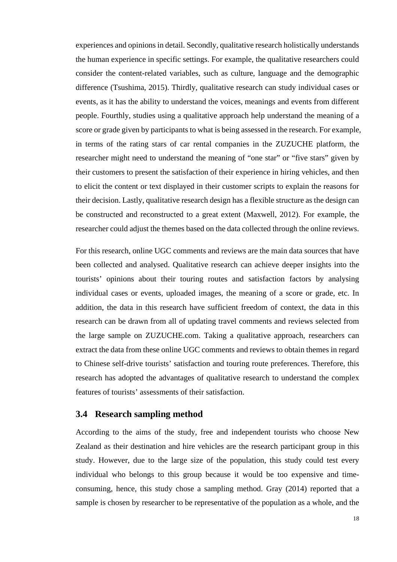experiences and opinions in detail. Secondly, qualitative research holistically understands the human experience in specific settings. For example, the qualitative researchers could consider the content-related variables, such as culture, language and the demographic difference (Tsushima, 2015). Thirdly, qualitative research can study individual cases or events, as it has the ability to understand the voices, meanings and events from different people. Fourthly, studies using a qualitative approach help understand the meaning of a score or grade given by participants to what is being assessed in the research. For example, in terms of the rating stars of car rental companies in the ZUZUCHE platform, the researcher might need to understand the meaning of "one star" or "five stars" given by their customers to present the satisfaction of their experience in hiring vehicles, and then to elicit the content or text displayed in their customer scripts to explain the reasons for their decision. Lastly, qualitative research design has a flexible structure as the design can be constructed and reconstructed to a great extent (Maxwell, 2012). For example, the researcher could adjust the themes based on the data collected through the online reviews.

For this research, online UGC comments and reviews are the main data sources that have been collected and analysed. Qualitative research can achieve deeper insights into the tourists' opinions about their touring routes and satisfaction factors by analysing individual cases or events, uploaded images, the meaning of a score or grade, etc. In addition, the data in this research have sufficient freedom of context, the data in this research can be drawn from all of updating travel comments and reviews selected from the large sample on ZUZUCHE.com. Taking a qualitative approach, researchers can extract the data from these online UGC comments and reviews to obtain themes in regard to Chinese self-drive tourists' satisfaction and touring route preferences. Therefore, this research has adopted the advantages of qualitative research to understand the complex features of tourists' assessments of their satisfaction.

#### <span id="page-25-0"></span>**3.4 Research sampling method**

According to the aims of the study, free and independent tourists who choose New Zealand as their destination and hire vehicles are the research participant group in this study. However, due to the large size of the population, this study could test every individual who belongs to this group because it would be too expensive and timeconsuming, hence, this study chose a sampling method. Gray (2014) reported that a sample is chosen by researcher to be representative of the population as a whole, and the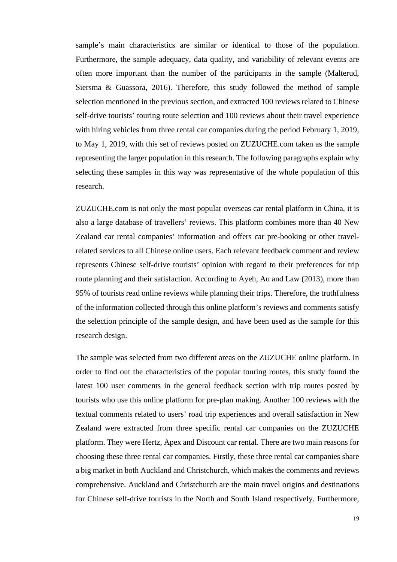sample's main characteristics are similar or identical to those of the population. Furthermore, the sample adequacy, data quality, and variability of relevant events are often more important than the number of the participants in the sample (Malterud, Siersma & Guassora, 2016). Therefore, this study followed the method of sample selection mentioned in the previous section, and extracted 100 reviews related to Chinese self-drive tourists' touring route selection and 100 reviews about their travel experience with hiring vehicles from three rental car companies during the period February 1, 2019, to May 1, 2019, with this set of reviews posted on ZUZUCHE.com taken as the sample representing the larger population in this research. The following paragraphs explain why selecting these samples in this way was representative of the whole population of this research.

ZUZUCHE.com is not only the most popular overseas car rental platform in China, it is also a large database of travellers' reviews. This platform combines more than 40 New Zealand car rental companies' information and offers car pre-booking or other travelrelated services to all Chinese online users. Each relevant feedback comment and review represents Chinese self-drive tourists' opinion with regard to their preferences for trip route planning and their satisfaction. According to Ayeh, Au and Law (2013), more than 95% of tourists read online reviews while planning their trips. Therefore, the truthfulness of the information collected through this online platform's reviews and comments satisfy the selection principle of the sample design, and have been used as the sample for this research design.

The sample was selected from two different areas on the ZUZUCHE online platform. In order to find out the characteristics of the popular touring routes, this study found the latest 100 user comments in the general feedback section with trip routes posted by tourists who use this online platform for pre-plan making. Another 100 reviews with the textual comments related to users' road trip experiences and overall satisfaction in New Zealand were extracted from three specific rental car companies on the ZUZUCHE platform. They were Hertz, Apex and Discount car rental. There are two main reasons for choosing these three rental car companies. Firstly, these three rental car companies share a big market in both Auckland and Christchurch, which makes the comments and reviews comprehensive. Auckland and Christchurch are the main travel origins and destinations for Chinese self-drive tourists in the North and South Island respectively. Furthermore,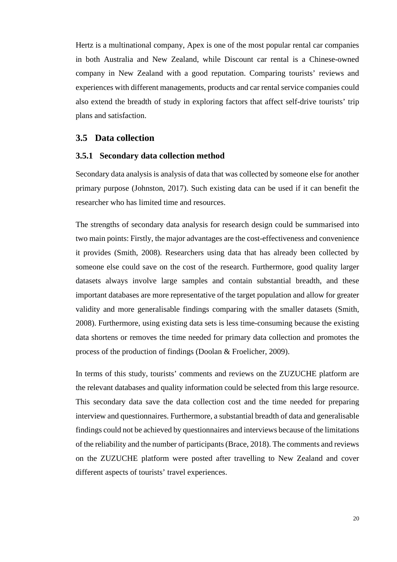Hertz is a multinational company, Apex is one of the most popular rental car companies in both Australia and New Zealand, while Discount car rental is a Chinese-owned company in New Zealand with a good reputation. Comparing tourists' reviews and experiences with different managements, products and car rental service companies could also extend the breadth of study in exploring factors that affect self-drive tourists' trip plans and satisfaction.

#### <span id="page-27-0"></span>**3.5 Data collection**

#### <span id="page-27-1"></span>**3.5.1 Secondary data collection method**

Secondary data analysis is analysis of data that was collected by someone else for another primary purpose (Johnston, 2017). Such existing data can be used if it can benefit the researcher who has limited time and resources.

The strengths of secondary data analysis for research design could be summarised into two main points: Firstly, the major advantages are the cost-effectiveness and convenience it provides (Smith, 2008). Researchers using data that has already been collected by someone else could save on the cost of the research. Furthermore, good quality larger datasets always involve large samples and contain substantial breadth, and these important databases are more representative of the target population and allow for greater validity and more generalisable findings comparing with the smaller datasets (Smith, 2008). Furthermore, using existing data sets is less time-consuming because the existing data shortens or removes the time needed for primary data collection and promotes the process of the production of findings (Doolan & Froelicher, 2009).

In terms of this study, tourists' comments and reviews on the ZUZUCHE platform are the relevant databases and quality information could be selected from this large resource. This secondary data save the data collection cost and the time needed for preparing interview and questionnaires. Furthermore, a substantial breadth of data and generalisable findings could not be achieved by questionnaires and interviews because of the limitations of the reliability and the number of participants (Brace, 2018). The comments and reviews on the ZUZUCHE platform were posted after travelling to New Zealand and cover different aspects of tourists' travel experiences.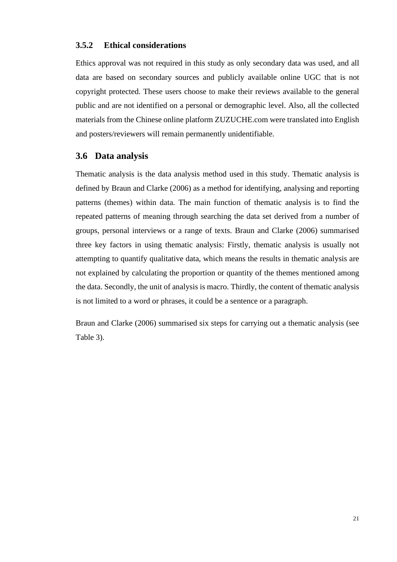#### <span id="page-28-0"></span>**3.5.2 Ethical considerations**

Ethics approval was not required in this study as only secondary data was used, and all data are based on secondary sources and publicly available online UGC that is not copyright protected. These users choose to make their reviews available to the general public and are not identified on a personal or demographic level. Also, all the collected materials from the Chinese online platform ZUZUCHE.com were translated into English and posters/reviewers will remain permanently unidentifiable.

#### <span id="page-28-1"></span>**3.6 Data analysis**

Thematic analysis is the data analysis method used in this study. Thematic analysis is defined by Braun and Clarke (2006) as a method for identifying, analysing and reporting patterns (themes) within data. The main function of thematic analysis is to find the repeated patterns of meaning through searching the data set derived from a number of groups, personal interviews or a range of texts. Braun and Clarke (2006) summarised three key factors in using thematic analysis: Firstly, thematic analysis is usually not attempting to quantify qualitative data, which means the results in thematic analysis are not explained by calculating the proportion or quantity of the themes mentioned among the data. Secondly, the unit of analysis is macro. Thirdly, the content of thematic analysis is not limited to a word or phrases, it could be a sentence or a paragraph.

Braun and Clarke (2006) summarised six steps for carrying out a thematic analysis (see [Table 3\)](#page-29-0).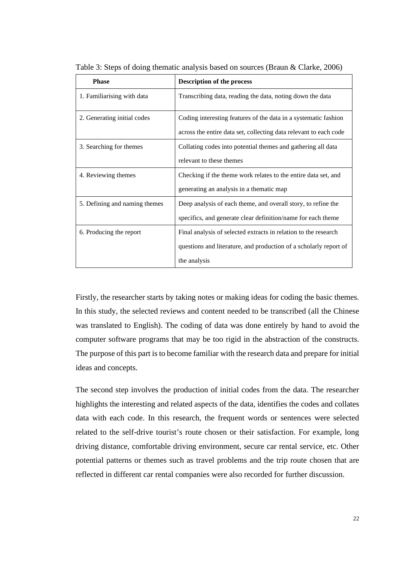| <b>Phase</b>                  | <b>Description of the process</b>                                 |  |
|-------------------------------|-------------------------------------------------------------------|--|
| 1. Familiarising with data    | Transcribing data, reading the data, noting down the data         |  |
| 2. Generating initial codes   | Coding interesting features of the data in a systematic fashion   |  |
|                               | across the entire data set, collecting data relevant to each code |  |
| 3. Searching for themes       | Collating codes into potential themes and gathering all data      |  |
|                               | relevant to these themes                                          |  |
| 4. Reviewing themes           | Checking if the theme work relates to the entire data set, and    |  |
|                               | generating an analysis in a thematic map                          |  |
| 5. Defining and naming themes | Deep analysis of each theme, and overall story, to refine the     |  |
|                               | specifics, and generate clear definition/name for each theme      |  |
| 6. Producing the report       | Final analysis of selected extracts in relation to the research   |  |
|                               | questions and literature, and production of a scholarly report of |  |
|                               | the analysis                                                      |  |

<span id="page-29-0"></span>Table 3: Steps of doing thematic analysis based on sources (Braun & Clarke, 2006)

Firstly, the researcher starts by taking notes or making ideas for coding the basic themes. In this study, the selected reviews and content needed to be transcribed (all the Chinese was translated to English). The coding of data was done entirely by hand to avoid the computer software programs that may be too rigid in the abstraction of the constructs. The purpose of this part is to become familiar with the research data and prepare for initial ideas and concepts.

The second step involves the production of initial codes from the data. The researcher highlights the interesting and related aspects of the data, identifies the codes and collates data with each code. In this research, the frequent words or sentences were selected related to the self-drive tourist's route chosen or their satisfaction. For example, long driving distance, comfortable driving environment, secure car rental service, etc. Other potential patterns or themes such as travel problems and the trip route chosen that are reflected in different car rental companies were also recorded for further discussion.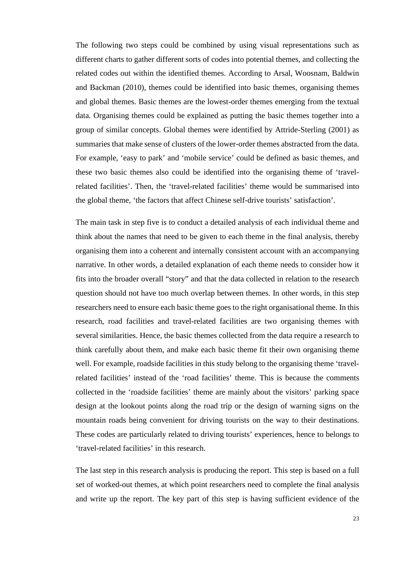The following two steps could be combined by using visual representations such as different charts to gather different sorts of codes into potential themes, and collecting the related codes out within the identified themes. According to Arsal, Woosnam, Baldwin and Backman (2010), themes could be identified into basic themes, organising themes and global themes. Basic themes are the lowest-order themes emerging from the textual data. Organising themes could be explained as putting the basic themes together into a group of similar concepts. Global themes were identified by Attride-Sterling (2001) as summaries that make sense of clusters of the lower-order themes abstracted from the data. For example, 'easy to park' and 'mobile service' could be defined as basic themes, and these two basic themes also could be identified into the organising theme of 'travelrelated facilities'. Then, the 'travel-related facilities' theme would be summarised into the global theme, 'the factors that affect Chinese self-drive tourists' satisfaction'.

The main task in step five is to conduct a detailed analysis of each individual theme and think about the names that need to be given to each theme in the final analysis, thereby organising them into a coherent and internally consistent account with an accompanying narrative. In other words, a detailed explanation of each theme needs to consider how it fits into the broader overall "story" and that the data collected in relation to the research question should not have too much overlap between themes. In other words, in this step researchers need to ensure each basic theme goes to the right organisational theme. In this research, road facilities and travel-related facilities are two organising themes with several similarities. Hence, the basic themes collected from the data require a research to think carefully about them, and make each basic theme fit their own organising theme well. For example, roadside facilities in this study belong to the organising theme 'travelrelated facilities' instead of the 'road facilities' theme. This is because the comments collected in the 'roadside facilities' theme are mainly about the visitors' parking space design at the lookout points along the road trip or the design of warning signs on the mountain roads being convenient for driving tourists on the way to their destinations. These codes are particularly related to driving tourists' experiences, hence to belongs to 'travel-related facilities' in this research.

The last step in this research analysis is producing the report. This step is based on a full set of worked-out themes, at which point researchers need to complete the final analysis and write up the report. The key part of this step is having sufficient evidence of the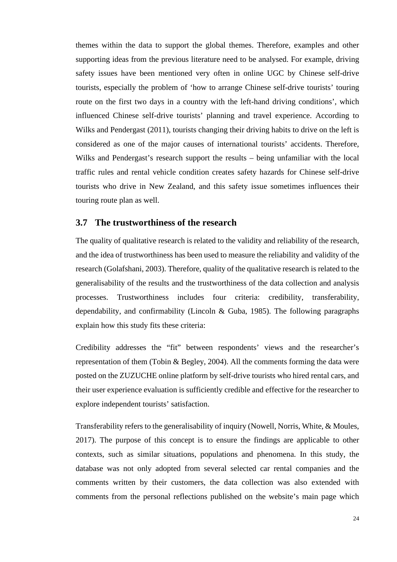themes within the data to support the global themes. Therefore, examples and other supporting ideas from the previous literature need to be analysed. For example, driving safety issues have been mentioned very often in online UGC by Chinese self-drive tourists, especially the problem of 'how to arrange Chinese self-drive tourists' touring route on the first two days in a country with the left-hand driving conditions', which influenced Chinese self-drive tourists' planning and travel experience. According to Wilks and Pendergast (2011), tourists changing their driving habits to drive on the left is considered as one of the major causes of international tourists' accidents. Therefore, Wilks and Pendergast's research support the results – being unfamiliar with the local traffic rules and rental vehicle condition creates safety hazards for Chinese self-drive tourists who drive in New Zealand, and this safety issue sometimes influences their touring route plan as well.

#### <span id="page-31-0"></span>**3.7 The trustworthiness of the research**

The quality of qualitative research is related to the validity and reliability of the research, and the idea of trustworthiness has been used to measure the reliability and validity of the research (Golafshani, 2003). Therefore, quality of the qualitative research is related to the generalisability of the results and the trustworthiness of the data collection and analysis processes. Trustworthiness includes four criteria: credibility, transferability, dependability, and confirmability (Lincoln & Guba, 1985). The following paragraphs explain how this study fits these criteria:

Credibility addresses the "fit" between respondents' views and the researcher's representation of them (Tobin & Begley, 2004). All the comments forming the data were posted on the ZUZUCHE online platform by self-drive tourists who hired rental cars, and their user experience evaluation is sufficiently credible and effective for the researcher to explore independent tourists' satisfaction.

Transferability refers to the generalisability of inquiry (Nowell, Norris, White, & Moules, 2017). The purpose of this concept is to ensure the findings are applicable to other contexts, such as similar situations, populations and phenomena. In this study, the database was not only adopted from several selected car rental companies and the comments written by their customers, the data collection was also extended with comments from the personal reflections published on the website's main page which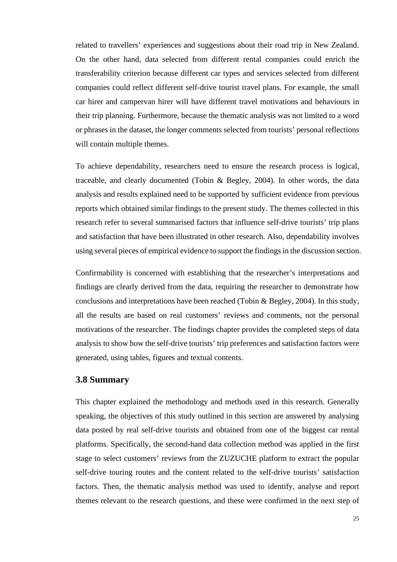related to travellers' experiences and suggestions about their road trip in New Zealand. On the other hand, data selected from different rental companies could enrich the transferability criterion because different car types and services selected from different companies could reflect different self-drive tourist travel plans. For example, the small car hirer and campervan hirer will have different travel motivations and behaviours in their trip planning. Furthermore, because the thematic analysis was not limited to a word or phrases in the dataset, the longer comments selected from tourists' personal reflections will contain multiple themes.

To achieve dependability, researchers need to ensure the research process is logical, traceable, and clearly documented (Tobin & Begley, 2004). In other words, the data analysis and results explained need to be supported by sufficient evidence from previous reports which obtained similar findings to the present study. The themes collected in this research refer to several summarised factors that influence self-drive tourists' trip plans and satisfaction that have been illustrated in other research. Also, dependability involves using several pieces of empirical evidence to support the findings in the discussion section.

Confirmability is concerned with establishing that the researcher's interpretations and findings are clearly derived from the data, requiring the researcher to demonstrate how conclusions and interpretations have been reached (Tobin & Begley, 2004). In this study, all the results are based on real customers' reviews and comments, not the personal motivations of the researcher. The findings chapter provides the completed steps of data analysis to show how the self-drive tourists' trip preferences and satisfaction factors were generated, using tables, figures and textual contents.

#### **3.8 Summary**

This chapter explained the methodology and methods used in this research. Generally speaking, the objectives of this study outlined in this section are answered by analysing data posted by real self-drive tourists and obtained from one of the biggest car rental platforms. Specifically, the second-hand data collection method was applied in the first stage to select customers' reviews from the ZUZUCHE platform to extract the popular self-drive touring routes and the content related to the self-drive tourists' satisfaction factors. Then, the thematic analysis method was used to identify, analyse and report themes relevant to the research questions, and these were confirmed in the next step of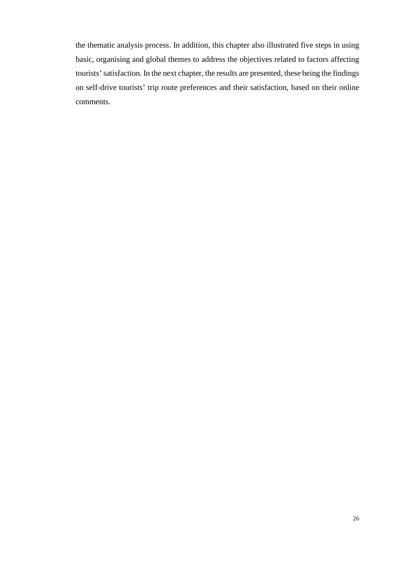the thematic analysis process. In addition, this chapter also illustrated five steps in using basic, organising and global themes to address the objectives related to factors affecting tourists' satisfaction. In the next chapter, the results are presented, these being the findings on self-drive tourists' trip route preferences and their satisfaction, based on their online comments.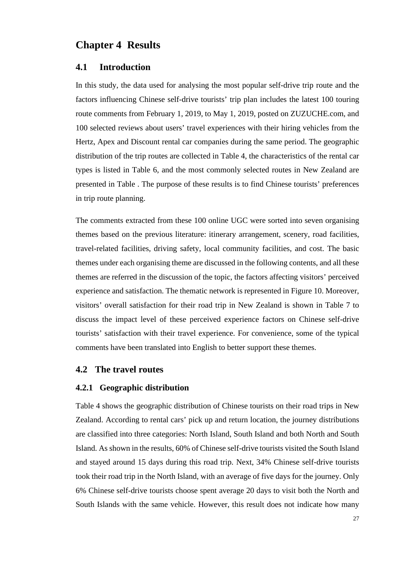# <span id="page-34-0"></span>**Chapter 4 Results**

#### <span id="page-34-1"></span>**4.1 Introduction**

In this study, the data used for analysing the most popular self-drive trip route and the factors influencing Chinese self-drive tourists' trip plan includes the latest 100 touring route comments from February 1, 2019, to May 1, 2019, posted on ZUZUCHE.com, and 100 selected reviews about users' travel experiences with their hiring vehicles from the Hertz, Apex and Discount rental car companies during the same period. The geographic distribution of the trip routes are collected in [Table 4,](#page-35-2) the characteristics of the rental car types is listed in Table 6, and the most commonly selected routes in New Zealand are presented in [Table .](#page-37-0) The purpose of these results is to find Chinese tourists' preferences in trip route planning.

The comments extracted from these 100 online UGC were sorted into seven organising themes based on the previous literature: itinerary arrangement, scenery, road facilities, travel-related facilities, driving safety, local community facilities, and cost. The basic themes under each organising theme are discussed in the following contents, and all these themes are referred in the discussion of the topic, the factors affecting visitors' perceived experience and satisfaction. The thematic network is represented in Figure 10. Moreover, visitors' overall satisfaction for their road trip in New Zealand is shown in Table 7 to discuss the impact level of these perceived experience factors on Chinese self-drive tourists' satisfaction with their travel experience. For convenience, some of the typical comments have been translated into English to better support these themes.

#### <span id="page-34-2"></span>**4.2 The travel routes**

#### <span id="page-34-3"></span>**4.2.1 Geographic distribution**

[Table 4](#page-35-2) shows the geographic distribution of Chinese tourists on their road trips in New Zealand. According to rental cars' pick up and return location, the journey distributions are classified into three categories: North Island, South Island and both North and South Island. As shown in the results, 60% of Chinese self-drive tourists visited the South Island and stayed around 15 days during this road trip. Next, 34% Chinese self-drive tourists took their road trip in the North Island, with an average of five days for the journey. Only 6% Chinese self-drive tourists choose spent average 20 days to visit both the North and South Islands with the same vehicle. However, this result does not indicate how many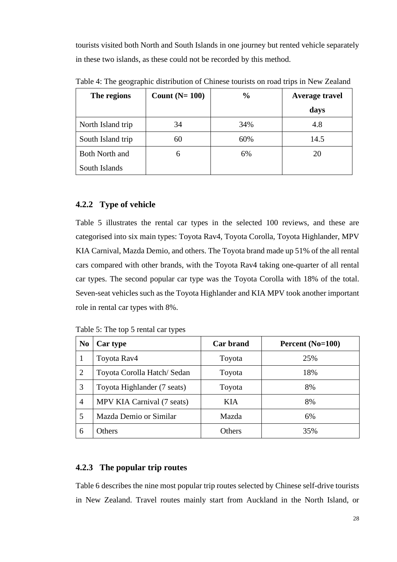tourists visited both North and South Islands in one journey but rented vehicle separately in these two islands, as these could not be recorded by this method.

| The regions       | Count $(N=100)$ | $\frac{0}{0}$ | <b>Average travel</b> |
|-------------------|-----------------|---------------|-----------------------|
|                   |                 |               | days                  |
| North Island trip | 34              | 34%           | 4.8                   |
| South Island trip | 60              | 60%           | 14.5                  |
| Both North and    | 6               | 6%            | 20                    |
| South Islands     |                 |               |                       |

<span id="page-35-2"></span>Table 4: The geographic distribution of Chinese tourists on road trips in New Zealand

#### <span id="page-35-0"></span>**4.2.2 Type of vehicle**

[Table 5](#page-35-3) illustrates the rental car types in the selected 100 reviews, and these are categorised into six main types: Toyota Rav4, Toyota Corolla, Toyota Highlander, MPV KIA Carnival, Mazda Demio, and others. The Toyota brand made up 51% of the all rental cars compared with other brands, with the Toyota Rav4 taking one-quarter of all rental car types. The second popular car type was the Toyota Corolla with 18% of the total. Seven-seat vehicles such as the Toyota Highlander and KIA MPV took another important role in rental car types with 8%.

<span id="page-35-3"></span>Table 5: The top 5 rental car types

| N <sub>0</sub> | Car type                    | <b>Car brand</b> | Percent (No=100) |
|----------------|-----------------------------|------------------|------------------|
|                | Toyota Rav4                 | Toyota           | 25%              |
| 2              | Toyota Corolla Hatch/Sedan  | Toyota           | 18%              |
| 3              | Toyota Highlander (7 seats) | Toyota           | 8%               |
| 4              | MPV KIA Carnival (7 seats)  | KIA.             | 8%               |
| 5              | Mazda Demio or Similar      | Mazda            | 6%               |
| 6              | Others                      | Others           | 35%              |

### <span id="page-35-1"></span>**4.2.3 The popular trip routes**

Table 6 describes the nine most popular trip routes selected by Chinese self-drive tourists in New Zealand. Travel routes mainly start from Auckland in the North Island, or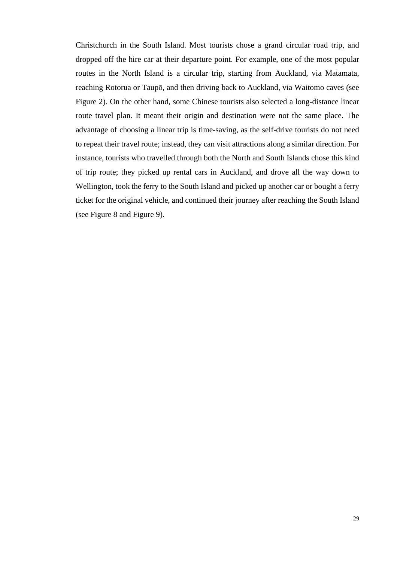Christchurch in the South Island. Most tourists chose a grand circular road trip, and dropped off the hire car at their departure point. For example, one of the most popular routes in the North Island is a circular trip, starting from Auckland, via Matamata, reaching Rotorua or Taupō, and then driving back to Auckland, via Waitomo caves (see [Figure 2\)](#page-38-0). On the other hand, some Chinese tourists also selected a long-distance linear route travel plan. It meant their origin and destination were not the same place. The advantage of choosing a linear trip is time-saving, as the self-drive tourists do not need to repeat their travel route; instead, they can visit attractions along a similar direction. For instance, tourists who travelled through both the North and South Islands chose this kind of trip route; they picked up rental cars in Auckland, and drove all the way down to Wellington, took the ferry to the South Island and picked up another car or bought a ferry ticket for the original vehicle, and continued their journey after reaching the South Island (see Figure 8 and [Figure 9\)](#page-42-0).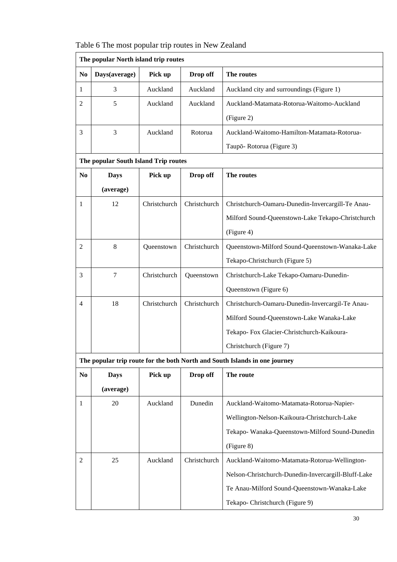Table 6 The most popular trip routes in New Zealand

|                | The popular North island trip routes |              |              |                                                                            |  |  |  |  |  |  |  |  |
|----------------|--------------------------------------|--------------|--------------|----------------------------------------------------------------------------|--|--|--|--|--|--|--|--|
| N <sub>0</sub> | Days(average)                        | Pick up      | Drop off     | The routes                                                                 |  |  |  |  |  |  |  |  |
| 1              | 3                                    | Auckland     | Auckland     | Auckland city and surroundings (Figure 1)                                  |  |  |  |  |  |  |  |  |
| $\overline{c}$ | 5                                    | Auckland     | Auckland     | Auckland-Matamata-Rotorua-Waitomo-Auckland                                 |  |  |  |  |  |  |  |  |
|                |                                      |              |              | (Figure 2)                                                                 |  |  |  |  |  |  |  |  |
| 3              | 3                                    | Auckland     | Rotorua      | Auckland-Waitomo-Hamilton-Matamata-Rotorua-                                |  |  |  |  |  |  |  |  |
|                |                                      |              |              | Taupō-Rotorua (Figure 3)                                                   |  |  |  |  |  |  |  |  |
|                | The popular South Island Trip routes |              |              |                                                                            |  |  |  |  |  |  |  |  |
| N <sub>0</sub> | <b>Days</b>                          | Pick up      | Drop off     | The routes                                                                 |  |  |  |  |  |  |  |  |
|                | (average)                            |              |              |                                                                            |  |  |  |  |  |  |  |  |
| 1              | 12                                   | Christchurch | Christchurch | Christchurch-Oamaru-Dunedin-Invercargill-Te Anau-                          |  |  |  |  |  |  |  |  |
|                |                                      |              |              | Milford Sound-Queenstown-Lake Tekapo-Christchurch                          |  |  |  |  |  |  |  |  |
|                |                                      |              |              | (Figure 4)                                                                 |  |  |  |  |  |  |  |  |
| $\overline{2}$ | $\,8\,$                              | Queenstown   | Christchurch | Queenstown-Milford Sound-Queenstown-Wanaka-Lake                            |  |  |  |  |  |  |  |  |
|                |                                      |              |              | Tekapo-Christchurch (Figure 5)                                             |  |  |  |  |  |  |  |  |
| 3              | $\tau$                               | Christchurch | Queenstown   | Christchurch-Lake Tekapo-Oamaru-Dunedin-                                   |  |  |  |  |  |  |  |  |
|                |                                      |              |              | Queenstown (Figure 6)                                                      |  |  |  |  |  |  |  |  |
| $\overline{4}$ | 18                                   | Christchurch | Christchurch | Christchurch-Oamaru-Dunedin-Invercargil-Te Anau-                           |  |  |  |  |  |  |  |  |
|                |                                      |              |              | Milford Sound-Queenstown-Lake Wanaka-Lake                                  |  |  |  |  |  |  |  |  |
|                |                                      |              |              | Tekapo- Fox Glacier-Christchurch-Kaikoura-                                 |  |  |  |  |  |  |  |  |
|                |                                      |              |              | Christchurch (Figure 7)                                                    |  |  |  |  |  |  |  |  |
|                |                                      |              |              | The popular trip route for the both North and South Islands in one journey |  |  |  |  |  |  |  |  |
| N <sub>0</sub> | <b>Days</b>                          | Pick up      | Drop off     | The route                                                                  |  |  |  |  |  |  |  |  |
|                | (average)                            |              |              |                                                                            |  |  |  |  |  |  |  |  |
| 1              | 20                                   | Auckland     | Dunedin      | Auckland-Waitomo-Matamata-Rotorua-Napier-                                  |  |  |  |  |  |  |  |  |
|                |                                      |              |              | Wellington-Nelson-Kaikoura-Christchurch-Lake                               |  |  |  |  |  |  |  |  |
|                |                                      |              |              | Tekapo- Wanaka-Queenstown-Milford Sound-Dunedin                            |  |  |  |  |  |  |  |  |
|                |                                      |              |              | (Figure 8)                                                                 |  |  |  |  |  |  |  |  |
| 2              | 25                                   | Auckland     | Christchurch | Auckland-Waitomo-Matamata-Rotorua-Wellington-                              |  |  |  |  |  |  |  |  |
|                |                                      |              |              | Nelson-Christchurch-Dunedin-Invercargill-Bluff-Lake                        |  |  |  |  |  |  |  |  |
|                |                                      |              |              | Te Anau-Milford Sound-Queenstown-Wanaka-Lake                               |  |  |  |  |  |  |  |  |
|                |                                      |              |              | Tekapo- Christchurch (Figure 9)                                            |  |  |  |  |  |  |  |  |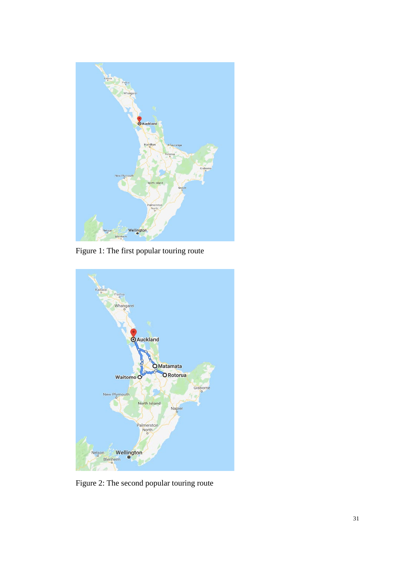

Figure 1: The first popular touring route



<span id="page-38-0"></span>Figure 2: The second popular touring route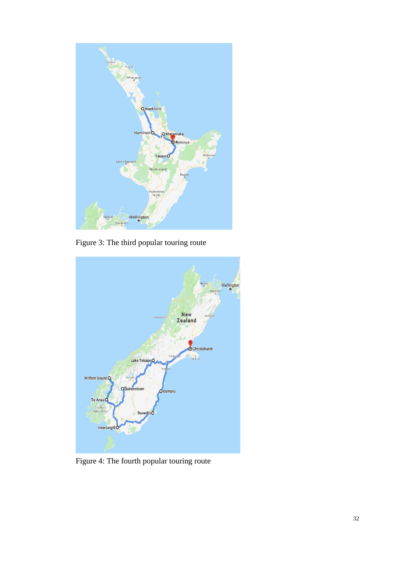

Figure 3: The third popular touring route



Figure 4: The fourth popular touring route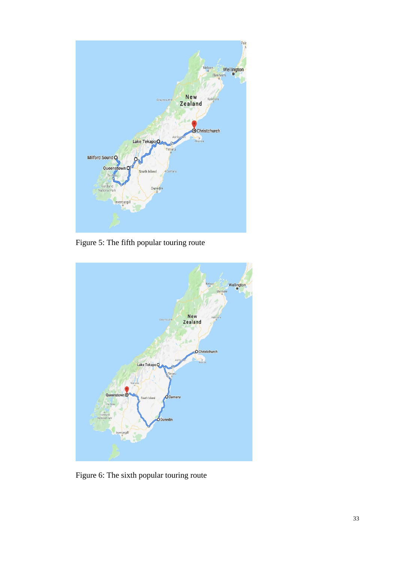

Figure 5: The fifth popular touring route



Figure 6: The sixth popular touring route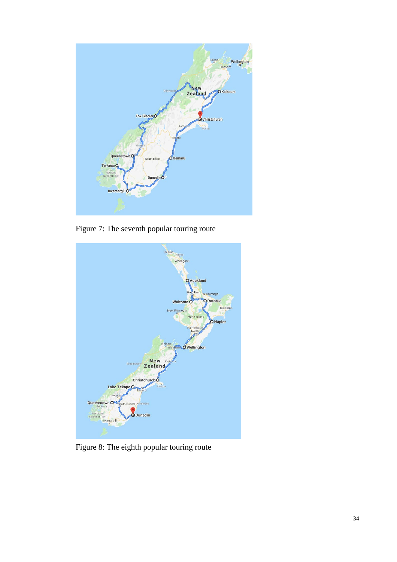

Figure 7: The seventh popular touring route



Figure 8: The eighth popular touring route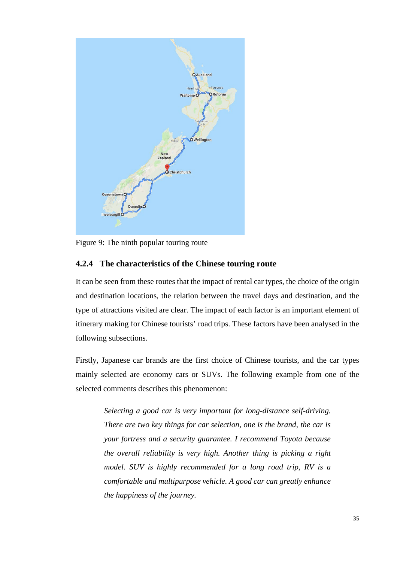

Figure 9: The ninth popular touring route

#### <span id="page-42-0"></span>**4.2.4 The characteristics of the Chinese touring route**

It can be seen from these routes that the impact of rental car types, the choice of the origin and destination locations, the relation between the travel days and destination, and the type of attractions visited are clear. The impact of each factor is an important element of itinerary making for Chinese tourists' road trips. These factors have been analysed in the following subsections.

Firstly, Japanese car brands are the first choice of Chinese tourists, and the car types mainly selected are economy cars or SUVs. The following example from one of the selected comments describes this phenomenon:

*Selecting a good car is very important for long-distance self-driving. There are two key things for car selection, one is the brand, the car is your fortress and a security guarantee. I recommend Toyota because the overall reliability is very high. Another thing is picking a right model. SUV is highly recommended for a long road trip, RV is a comfortable and multipurpose vehicle. A good car can greatly enhance the happiness of the journey.*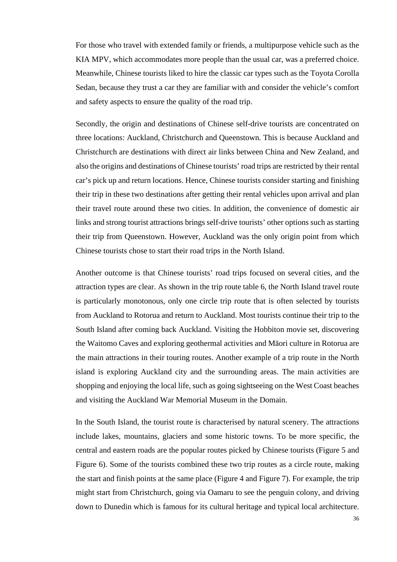For those who travel with extended family or friends, a multipurpose vehicle such as the KIA MPV, which accommodates more people than the usual car, was a preferred choice. Meanwhile, Chinese tourists liked to hire the classic car types such as the Toyota Corolla Sedan, because they trust a car they are familiar with and consider the vehicle's comfort and safety aspects to ensure the quality of the road trip.

Secondly, the origin and destinations of Chinese self-drive tourists are concentrated on three locations: Auckland, Christchurch and Queenstown. This is because Auckland and Christchurch are destinations with direct air links between China and New Zealand, and also the origins and destinations of Chinese tourists' road trips are restricted by their rental car's pick up and return locations. Hence, Chinese tourists consider starting and finishing their trip in these two destinations after getting their rental vehicles upon arrival and plan their travel route around these two cities. In addition, the convenience of domestic air links and strong tourist attractions brings self-drive tourists' other options such as starting their trip from Queenstown. However, Auckland was the only origin point from which Chinese tourists chose to start their road trips in the North Island.

Another outcome is that Chinese tourists' road trips focused on several cities, and the attraction types are clear. As shown in the trip route table 6, the North Island travel route is particularly monotonous, only one circle trip route that is often selected by tourists from Auckland to Rotorua and return to Auckland. Most tourists continue their trip to the South Island after coming back Auckland. Visiting the Hobbiton movie set, discovering the Waitomo Caves and exploring geothermal activities and Māori culture in Rotorua are the main attractions in their touring routes. Another example of a trip route in the North island is exploring Auckland city and the surrounding areas. The main activities are shopping and enjoying the local life, such as going sightseeing on the West Coast beaches and visiting the Auckland War Memorial Museum in the Domain.

In the South Island, the tourist route is characterised by natural scenery. The attractions include lakes, mountains, glaciers and some historic towns. To be more specific, the central and eastern roads are the popular routes picked by Chinese tourists (Figure 5 and Figure 6). Some of the tourists combined these two trip routes as a circle route, making the start and finish points at the same place (Figure 4 and Figure 7). For example, the trip might start from Christchurch, going via Oamaru to see the penguin colony, and driving down to Dunedin which is famous for its cultural heritage and typical local architecture.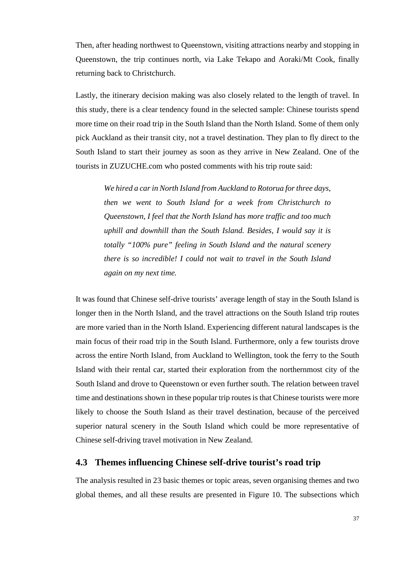Then, after heading northwest to Queenstown, visiting attractions nearby and stopping in Queenstown, the trip continues north, via Lake Tekapo and Aoraki/Mt Cook, finally returning back to Christchurch.

Lastly, the itinerary decision making was also closely related to the length of travel. In this study, there is a clear tendency found in the selected sample: Chinese tourists spend more time on their road trip in the South Island than the North Island. Some of them only pick Auckland as their transit city, not a travel destination. They plan to fly direct to the South Island to start their journey as soon as they arrive in New Zealand. One of the tourists in ZUZUCHE.com who posted comments with his trip route said:

*We hired a car in North Island from Auckland to Rotorua for three days, then we went to South Island for a week from Christchurch to Queenstown, I feel that the North Island has more traffic and too much uphill and downhill than the South Island. Besides, I would say it is totally "100% pure" feeling in South Island and the natural scenery there is so incredible! I could not wait to travel in the South Island again on my next time.*

It was found that Chinese self-drive tourists' average length of stay in the South Island is longer then in the North Island, and the travel attractions on the South Island trip routes are more varied than in the North Island. Experiencing different natural landscapes is the main focus of their road trip in the South Island. Furthermore, only a few tourists drove across the entire North Island, from Auckland to Wellington, took the ferry to the South Island with their rental car, started their exploration from the northernmost city of the South Island and drove to Queenstown or even further south. The relation between travel time and destinations shown in these popular trip routes is that Chinese tourists were more likely to choose the South Island as their travel destination, because of the perceived superior natural scenery in the South Island which could be more representative of Chinese self-driving travel motivation in New Zealand.

#### **4.3 Themes influencing Chinese self-drive tourist's road trip**

The analysis resulted in 23 basic themes or topic areas, seven organising themes and two global themes, and all these results are presented in [Figure 10.](#page-45-0) The subsections which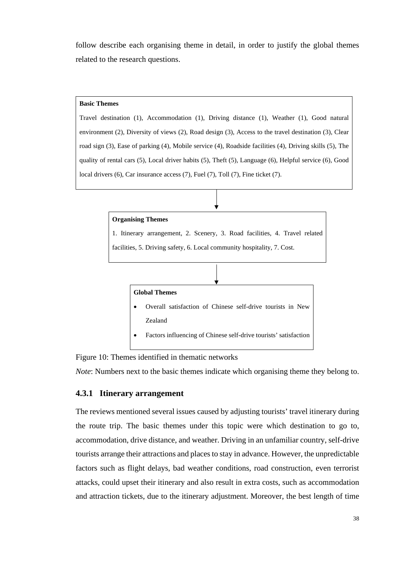follow describe each organising theme in detail, in order to justify the global themes related to the research questions.

#### **Basic Themes**

Travel destination (1), Accommodation (1), Driving distance (1), Weather (1), Good natural environment (2), Diversity of views (2), Road design (3), Access to the travel destination (3), Clear road sign (3), Ease of parking (4), Mobile service (4), Roadside facilities (4), Driving skills (5), The quality of rental cars (5), Local driver habits (5), Theft (5), Language (6), Helpful service (6), Good local drivers (6), Car insurance access (7), Fuel (7), Toll (7), Fine ticket (7).



<span id="page-45-0"></span>Figure 10: Themes identified in thematic networks

*Note*: Numbers next to the basic themes indicate which organising theme they belong to.

#### **4.3.1 Itinerary arrangement**

The reviews mentioned several issues caused by adjusting tourists' travel itinerary during the route trip. The basic themes under this topic were which destination to go to, accommodation, drive distance, and weather. Driving in an unfamiliar country, self-drive tourists arrange their attractions and places to stay in advance. However, the unpredictable factors such as flight delays, bad weather conditions, road construction, even terrorist attacks, could upset their itinerary and also result in extra costs, such as accommodation and attraction tickets, due to the itinerary adjustment. Moreover, the best length of time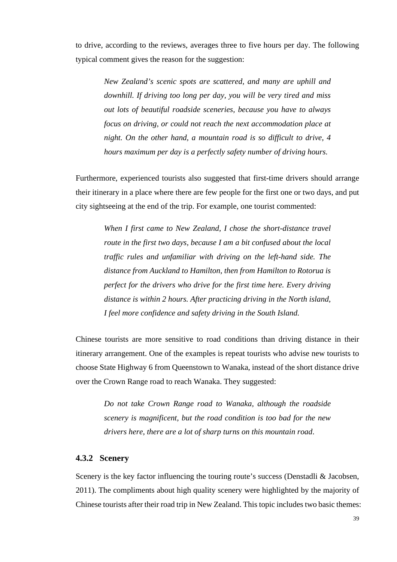to drive, according to the reviews, averages three to five hours per day. The following typical comment gives the reason for the suggestion:

*New Zealand's scenic spots are scattered, and many are uphill and downhill. If driving too long per day, you will be very tired and miss out lots of beautiful roadside sceneries, because you have to always focus on driving, or could not reach the next accommodation place at night. On the other hand, a mountain road is so difficult to drive, 4 hours maximum per day is a perfectly safety number of driving hours.* 

Furthermore, experienced tourists also suggested that first-time drivers should arrange their itinerary in a place where there are few people for the first one or two days, and put city sightseeing at the end of the trip. For example, one tourist commented:

*When I first came to New Zealand, I chose the short-distance travel route in the first two days, because I am a bit confused about the local traffic rules and unfamiliar with driving on the left-hand side. The distance from Auckland to Hamilton, then from Hamilton to Rotorua is perfect for the drivers who drive for the first time here. Every driving distance is within 2 hours. After practicing driving in the North island, I feel more confidence and safety driving in the South Island.* 

Chinese tourists are more sensitive to road conditions than driving distance in their itinerary arrangement. One of the examples is repeat tourists who advise new tourists to choose State Highway 6 from Queenstown to Wanaka, instead of the short distance drive over the Crown Range road to reach Wanaka. They suggested:

*Do not take Crown Range road to Wanaka, although the roadside scenery is magnificent, but the road condition is too bad for the new drivers here, there are a lot of sharp turns on this mountain road*.

### **4.3.2 Scenery**

Scenery is the key factor influencing the touring route's success (Denstadli & Jacobsen, 2011). The compliments about high quality scenery were highlighted by the majority of Chinese tourists after their road trip in New Zealand. This topic includes two basic themes: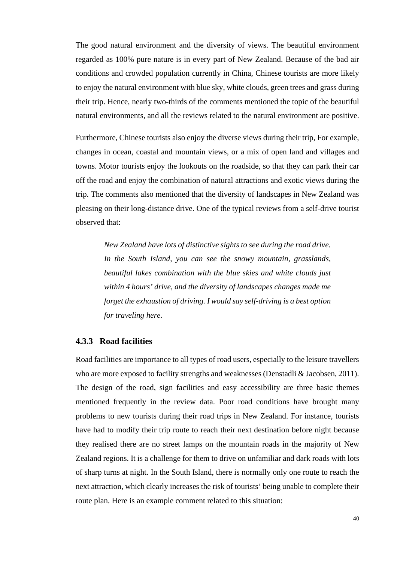The good natural environment and the diversity of views. The beautiful environment regarded as 100% pure nature is in every part of New Zealand. Because of the bad air conditions and crowded population currently in China, Chinese tourists are more likely to enjoy the natural environment with blue sky, white clouds, green trees and grass during their trip. Hence, nearly two-thirds of the comments mentioned the topic of the beautiful natural environments, and all the reviews related to the natural environment are positive.

Furthermore, Chinese tourists also enjoy the diverse views during their trip, For example, changes in ocean, coastal and mountain views, or a mix of open land and villages and towns. Motor tourists enjoy the lookouts on the roadside, so that they can park their car off the road and enjoy the combination of natural attractions and exotic views during the trip. The comments also mentioned that the diversity of landscapes in New Zealand was pleasing on their long-distance drive. One of the typical reviews from a self-drive tourist observed that:

*New Zealand have lots of distinctive sights to see during the road drive. In the South Island, you can see the snowy mountain, grasslands, beautiful lakes combination with the blue skies and white clouds just within 4 hours' drive, and the diversity of landscapes changes made me forget the exhaustion of driving. I would say self-driving is a best option for traveling here.* 

#### **4.3.3 Road facilities**

Road facilities are importance to all types of road users, especially to the leisure travellers who are more exposed to facility strengths and weaknesses (Denstadli & Jacobsen, 2011). The design of the road, sign facilities and easy accessibility are three basic themes mentioned frequently in the review data. Poor road conditions have brought many problems to new tourists during their road trips in New Zealand. For instance, tourists have had to modify their trip route to reach their next destination before night because they realised there are no street lamps on the mountain roads in the majority of New Zealand regions. It is a challenge for them to drive on unfamiliar and dark roads with lots of sharp turns at night. In the South Island, there is normally only one route to reach the next attraction, which clearly increases the risk of tourists' being unable to complete their route plan. Here is an example comment related to this situation: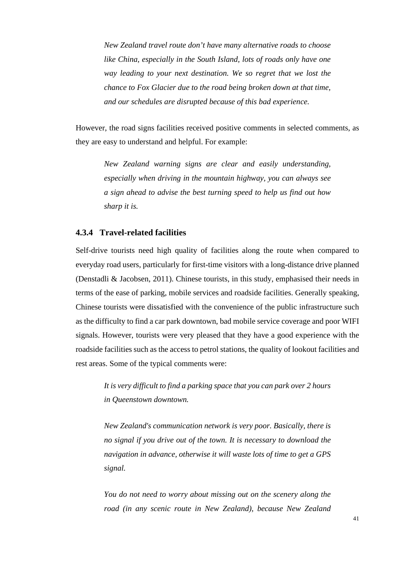*New Zealand travel route don't have many alternative roads to choose like China, especially in the South Island, lots of roads only have one way leading to your next destination. We so regret that we lost the chance to Fox Glacier due to the road being broken down at that time, and our schedules are disrupted because of this bad experience.* 

However, the road signs facilities received positive comments in selected comments, as they are easy to understand and helpful. For example:

*New Zealand warning signs are clear and easily understanding, especially when driving in the mountain highway, you can always see a sign ahead to advise the best turning speed to help us find out how sharp it is.* 

#### **4.3.4 Travel-related facilities**

Self-drive tourists need high quality of facilities along the route when compared to everyday road users, particularly for first-time visitors with a long-distance drive planned (Denstadli & Jacobsen, 2011). Chinese tourists, in this study, emphasised their needs in terms of the ease of parking, mobile services and roadside facilities. Generally speaking, Chinese tourists were dissatisfied with the convenience of the public infrastructure such as the difficulty to find a car park downtown, bad mobile service coverage and poor WIFI signals. However, tourists were very pleased that they have a good experience with the roadside facilities such as the access to petrol stations, the quality of lookout facilities and rest areas. Some of the typical comments were:

*It is very difficult to find a parking space that you can park over 2 hours in Queenstown downtown.*

*New Zealand's communication network is very poor. Basically, there is no signal if you drive out of the town. It is necessary to download the navigation in advance, otherwise it will waste lots of time to get a GPS signal.*

*You do not need to worry about missing out on the scenery along the road (in any scenic route in New Zealand), because New Zealand*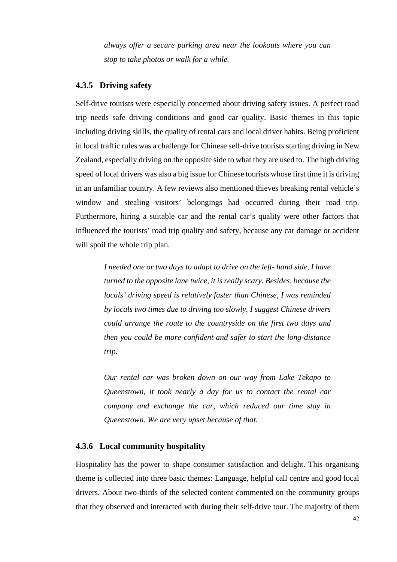*always offer a secure parking area near the lookouts where you can stop to take photos or walk for a while.*

#### **4.3.5 Driving safety**

Self-drive tourists were especially concerned about driving safety issues. A perfect road trip needs safe driving conditions and good car quality. Basic themes in this topic including driving skills, the quality of rental cars and local driver habits. Being proficient in local traffic rules was a challenge for Chinese self-drive tourists starting driving in New Zealand, especially driving on the opposite side to what they are used to. The high driving speed of local drivers was also a big issue for Chinese tourists whose first time it is driving in an unfamiliar country. A few reviews also mentioned thieves breaking rental vehicle's window and stealing visitors' belongings had occurred during their road trip. Furthermore, hiring a suitable car and the rental car's quality were other factors that influenced the tourists' road trip quality and safety, because any car damage or accident will spoil the whole trip plan.

*I needed one or two days to adapt to drive on the left- hand side, I have turned to the opposite lane twice, it is really scary. Besides, because the locals' driving speed is relatively faster than Chinese, I was reminded by locals two times due to driving too slowly. I suggest Chinese drivers could arrange the route to the countryside on the first two days and then you could be more confident and safer to start the long-distance trip.*

*Our rental car was broken down on our way from Lake Tekapo to Queenstown, it took nearly a day for us to contact the rental car company and exchange the car, which reduced our time stay in Queenstown. We are very upset because of that.*

#### **4.3.6 Local community hospitality**

Hospitality has the power to shape consumer satisfaction and delight. This organising theme is collected into three basic themes: Language, helpful call centre and good local drivers. About two-thirds of the selected content commented on the community groups that they observed and interacted with during their self-drive tour. The majority of them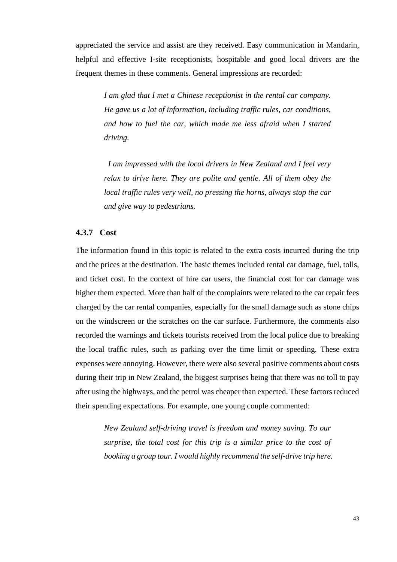appreciated the service and assist are they received. Easy communication in Mandarin, helpful and effective I-site receptionists, hospitable and good local drivers are the frequent themes in these comments. General impressions are recorded:

*I am glad that I met a Chinese receptionist in the rental car company. He gave us a lot of information, including traffic rules, car conditions, and how to fuel the car, which made me less afraid when I started driving.* 

*I am impressed with the local drivers in New Zealand and I feel very relax to drive here. They are polite and gentle. All of them obey the local traffic rules very well, no pressing the horns, always stop the car and give way to pedestrians.* 

#### **4.3.7 Cost**

The information found in this topic is related to the extra costs incurred during the trip and the prices at the destination. The basic themes included rental car damage, fuel, tolls, and ticket cost. In the context of hire car users, the financial cost for car damage was higher them expected. More than half of the complaints were related to the car repair fees charged by the car rental companies, especially for the small damage such as stone chips on the windscreen or the scratches on the car surface. Furthermore, the comments also recorded the warnings and tickets tourists received from the local police due to breaking the local traffic rules, such as parking over the time limit or speeding. These extra expenses were annoying. However, there were also several positive comments about costs during their trip in New Zealand, the biggest surprises being that there was no toll to pay after using the highways, and the petrol was cheaper than expected. These factors reduced their spending expectations. For example, one young couple commented:

*New Zealand self-driving travel is freedom and money saving. To our surprise, the total cost for this trip is a similar price to the cost of booking a group tour. I would highly recommend the self-drive trip here.*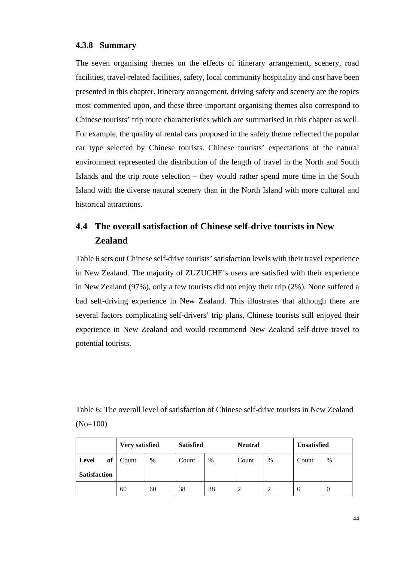#### **4.3.8 Summary**

The seven organising themes on the effects of itinerary arrangement, scenery, road facilities, travel-related facilities, safety, local community hospitality and cost have been presented in this chapter. Itinerary arrangement, driving safety and scenery are the topics most commented upon, and these three important organising themes also correspond to Chinese tourists' trip route characteristics which are summarised in this chapter as well. For example, the quality of rental cars proposed in the safety theme reflected the popular car type selected by Chinese tourists. Chinese tourists' expectations of the natural environment represented the distribution of the length of travel in the North and South Islands and the trip route selection – they would rather spend more time in the South Island with the diverse natural scenery than in the North Island with more cultural and historical attractions.

# **4.4 The overall satisfaction of Chinese self-drive tourists in New Zealand**

[Table 6](#page-51-0) sets out Chinese self-drive tourists' satisfaction levels with their travel experience in New Zealand. The majority of ZUZUCHE's users are satisfied with their experience in New Zealand (97%), only a few tourists did not enjoy their trip (2%). None suffered a bad self-driving experience in New Zealand. This illustrates that although there are several factors complicating self-drivers' trip plans, Chinese tourists still enjoyed their experience in New Zealand and would recommend New Zealand self-drive travel to potential tourists.

<span id="page-51-0"></span>Table 6: The overall level of satisfaction of Chinese self-drive tourists in New Zealand (No=100)

|                     | Very satisfied |               | <b>Satisfied</b> |      | <b>Neutral</b> |      | <b>Unsatisfied</b> |      |
|---------------------|----------------|---------------|------------------|------|----------------|------|--------------------|------|
| of<br>Level         | Count          | $\frac{6}{9}$ | Count            | $\%$ | Count          | $\%$ | Count              | $\%$ |
| <b>Satisfaction</b> |                |               |                  |      |                |      |                    |      |
|                     | 60             | 60            | 38               | 38   |                |      | $\theta$           | 0    |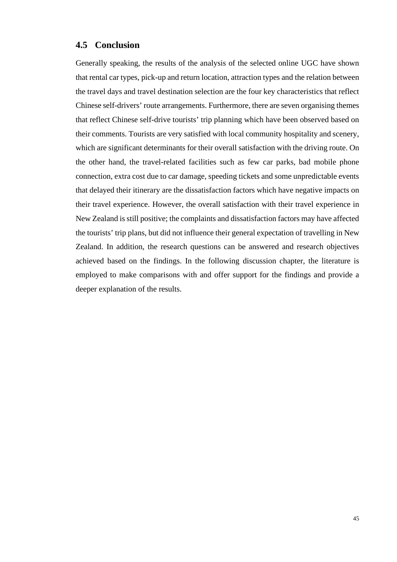## **4.5 Conclusion**

Generally speaking, the results of the analysis of the selected online UGC have shown that rental car types, pick-up and return location, attraction types and the relation between the travel days and travel destination selection are the four key characteristics that reflect Chinese self-drivers' route arrangements. Furthermore, there are seven organising themes that reflect Chinese self-drive tourists' trip planning which have been observed based on their comments. Tourists are very satisfied with local community hospitality and scenery, which are significant determinants for their overall satisfaction with the driving route. On the other hand, the travel-related facilities such as few car parks, bad mobile phone connection, extra cost due to car damage, speeding tickets and some unpredictable events that delayed their itinerary are the dissatisfaction factors which have negative impacts on their travel experience. However, the overall satisfaction with their travel experience in New Zealand is still positive; the complaints and dissatisfaction factors may have affected the tourists' trip plans, but did not influence their general expectation of travelling in New Zealand. In addition, the research questions can be answered and research objectives achieved based on the findings. In the following discussion chapter, the literature is employed to make comparisons with and offer support for the findings and provide a deeper explanation of the results.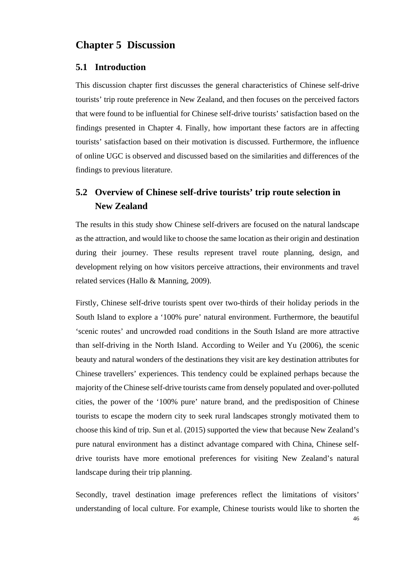# **Chapter 5 Discussion**

#### **5.1 Introduction**

This discussion chapter first discusses the general characteristics of Chinese self-drive tourists' trip route preference in New Zealand, and then focuses on the perceived factors that were found to be influential for Chinese self-drive tourists' satisfaction based on the findings presented in Chapter 4. Finally, how important these factors are in affecting tourists' satisfaction based on their motivation is discussed. Furthermore, the influence of online UGC is observed and discussed based on the similarities and differences of the findings to previous literature.

# **5.2 Overview of Chinese self-drive tourists' trip route selection in New Zealand**

The results in this study show Chinese self-drivers are focused on the natural landscape as the attraction, and would like to choose the same location as their origin and destination during their journey. These results represent travel route planning, design, and development relying on how visitors perceive attractions, their environments and travel related services (Hallo & Manning, 2009).

Firstly, Chinese self-drive tourists spent over two-thirds of their holiday periods in the South Island to explore a '100% pure' natural environment. Furthermore, the beautiful 'scenic routes' and uncrowded road conditions in the South Island are more attractive than self-driving in the North Island. According to Weiler and Yu (2006), the scenic beauty and natural wonders of the destinations they visit are key destination attributes for Chinese travellers' experiences. This tendency could be explained perhaps because the majority of the Chinese self-drive tourists came from densely populated and over-polluted cities, the power of the '100% pure' nature brand, and the predisposition of Chinese tourists to escape the modern city to seek rural landscapes strongly motivated them to choose this kind of trip. Sun et al. (2015) supported the view that because New Zealand's pure natural environment has a distinct advantage compared with China, Chinese selfdrive tourists have more emotional preferences for visiting New Zealand's natural landscape during their trip planning.

Secondly, travel destination image preferences reflect the limitations of visitors' understanding of local culture. For example, Chinese tourists would like to shorten the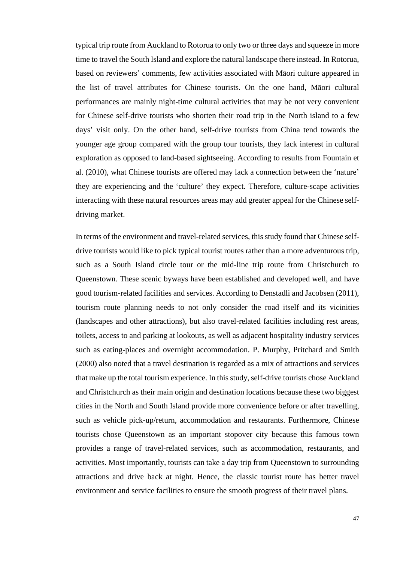typical trip route from Auckland to Rotorua to only two or three days and squeeze in more time to travel the South Island and explore the natural landscape there instead. In Rotorua, based on reviewers' comments, few activities associated with Māori culture appeared in the list of travel attributes for Chinese tourists. On the one hand, Māori cultural performances are mainly night-time cultural activities that may be not very convenient for Chinese self-drive tourists who shorten their road trip in the North island to a few days' visit only. On the other hand, self-drive tourists from China tend towards the younger age group compared with the group tour tourists, they lack interest in cultural exploration as opposed to land-based sightseeing. According to results from Fountain et al. (2010), what Chinese tourists are offered may lack a connection between the 'nature' they are experiencing and the 'culture' they expect. Therefore, culture-scape activities interacting with these natural resources areas may add greater appeal for the Chinese selfdriving market.

In terms of the environment and travel-related services, this study found that Chinese selfdrive tourists would like to pick typical tourist routes rather than a more adventurous trip, such as a South Island circle tour or the mid-line trip route from Christchurch to Queenstown. These scenic byways have been established and developed well, and have good tourism-related facilities and services. According to Denstadli and Jacobsen (2011), tourism route planning needs to not only consider the road itself and its vicinities (landscapes and other attractions), but also travel-related facilities including rest areas, toilets, access to and parking at lookouts, as well as adjacent hospitality industry services such as eating-places and overnight accommodation. P. Murphy, Pritchard and Smith (2000) also noted that a travel destination is regarded as a mix of attractions and services that make up the total tourism experience. In this study, self-drive tourists chose Auckland and Christchurch as their main origin and destination locations because these two biggest cities in the North and South Island provide more convenience before or after travelling, such as vehicle pick-up/return, accommodation and restaurants. Furthermore, Chinese tourists chose Queenstown as an important stopover city because this famous town provides a range of travel-related services, such as accommodation, restaurants, and activities. Most importantly, tourists can take a day trip from Queenstown to surrounding attractions and drive back at night. Hence, the classic tourist route has better travel environment and service facilities to ensure the smooth progress of their travel plans.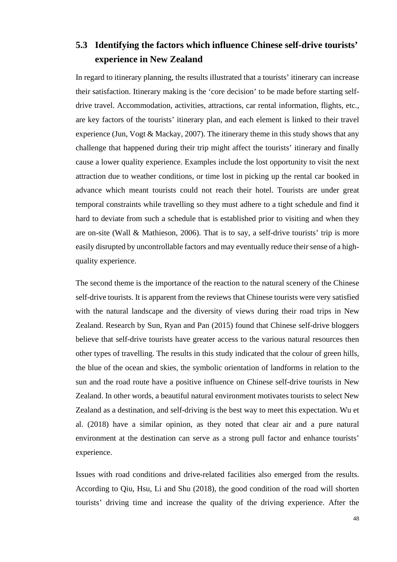# **5.3 Identifying the factors which influence Chinese self-drive tourists' experience in New Zealand**

In regard to itinerary planning, the results illustrated that a tourists' itinerary can increase their satisfaction. Itinerary making is the 'core decision' to be made before starting selfdrive travel. Accommodation, activities, attractions, car rental information, flights, etc., are key factors of the tourists' itinerary plan, and each element is linked to their travel experience (Jun, Vogt & Mackay, 2007). The itinerary theme in this study shows that any challenge that happened during their trip might affect the tourists' itinerary and finally cause a lower quality experience. Examples include the lost opportunity to visit the next attraction due to weather conditions, or time lost in picking up the rental car booked in advance which meant tourists could not reach their hotel. Tourists are under great temporal constraints while travelling so they must adhere to a tight schedule and find it hard to deviate from such a schedule that is established prior to visiting and when they are on-site (Wall & Mathieson, 2006). That is to say, a self-drive tourists' trip is more easily disrupted by uncontrollable factors and may eventually reduce their sense of a highquality experience.

The second theme is the importance of the reaction to the natural scenery of the Chinese self-drive tourists. It is apparent from the reviews that Chinese tourists were very satisfied with the natural landscape and the diversity of views during their road trips in New Zealand. Research by Sun, Ryan and Pan (2015) found that Chinese self-drive bloggers believe that self-drive tourists have greater access to the various natural resources then other types of travelling. The results in this study indicated that the colour of green hills, the blue of the ocean and skies, the symbolic orientation of landforms in relation to the sun and the road route have a positive influence on Chinese self-drive tourists in New Zealand. In other words, a beautiful natural environment motivates tourists to select New Zealand as a destination, and self-driving is the best way to meet this expectation. Wu et al. (2018) have a similar opinion, as they noted that clear air and a pure natural environment at the destination can serve as a strong pull factor and enhance tourists' experience.

Issues with road conditions and drive-related facilities also emerged from the results. According to Qiu, Hsu, Li and Shu (2018), the good condition of the road will shorten tourists' driving time and increase the quality of the driving experience. After the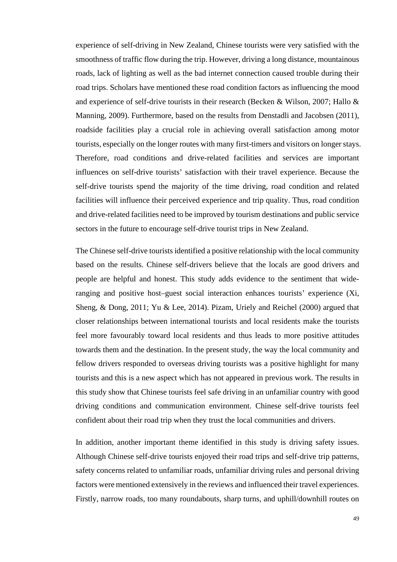experience of self-driving in New Zealand, Chinese tourists were very satisfied with the smoothness of traffic flow during the trip. However, driving a long distance, mountainous roads, lack of lighting as well as the bad internet connection caused trouble during their road trips. Scholars have mentioned these road condition factors as influencing the mood and experience of self-drive tourists in their research (Becken & Wilson, 2007; Hallo & Manning, 2009). Furthermore, based on the results from Denstadli and Jacobsen (2011), roadside facilities play a crucial role in achieving overall satisfaction among motor tourists, especially on the longer routes with many first-timers and visitors on longer stays. Therefore, road conditions and drive-related facilities and services are important influences on self-drive tourists' satisfaction with their travel experience. Because the self-drive tourists spend the majority of the time driving, road condition and related facilities will influence their perceived experience and trip quality. Thus, road condition and drive-related facilities need to be improved by tourism destinations and public service sectors in the future to encourage self-drive tourist trips in New Zealand.

The Chinese self-drive tourists identified a positive relationship with the local community based on the results. Chinese self-drivers believe that the locals are good drivers and people are helpful and honest. This study adds evidence to the sentiment that wideranging and positive host–guest social interaction enhances tourists' experience (Xi, Sheng, & Dong, 2011; Yu & Lee, 2014). Pizam, Uriely and Reichel (2000) argued that closer relationships between international tourists and local residents make the tourists feel more favourably toward local residents and thus leads to more positive attitudes towards them and the destination. In the present study, the way the local community and fellow drivers responded to overseas driving tourists was a positive highlight for many tourists and this is a new aspect which has not appeared in previous work. The results in this study show that Chinese tourists feel safe driving in an unfamiliar country with good driving conditions and communication environment. Chinese self-drive tourists feel confident about their road trip when they trust the local communities and drivers.

In addition, another important theme identified in this study is driving safety issues. Although Chinese self-drive tourists enjoyed their road trips and self-drive trip patterns, safety concerns related to unfamiliar roads, unfamiliar driving rules and personal driving factors were mentioned extensively in the reviews and influenced their travel experiences. Firstly, narrow roads, too many roundabouts, sharp turns, and uphill/downhill routes on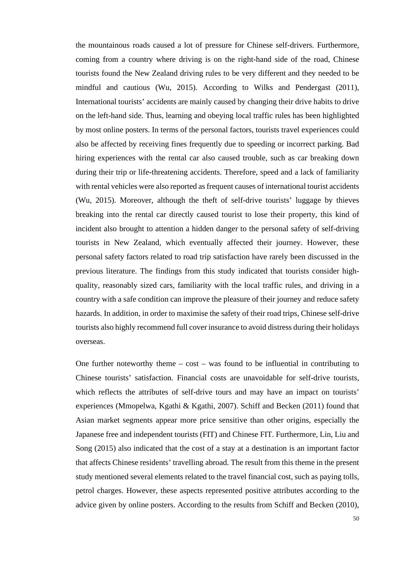the mountainous roads caused a lot of pressure for Chinese self-drivers. Furthermore, coming from a country where driving is on the right-hand side of the road, Chinese tourists found the New Zealand driving rules to be very different and they needed to be mindful and cautious (Wu, 2015). According to Wilks and Pendergast (2011), International tourists' accidents are mainly caused by changing their drive habits to drive on the left-hand side. Thus, learning and obeying local traffic rules has been highlighted by most online posters. In terms of the personal factors, tourists travel experiences could also be affected by receiving fines frequently due to speeding or incorrect parking. Bad hiring experiences with the rental car also caused trouble, such as car breaking down during their trip or life-threatening accidents. Therefore, speed and a lack of familiarity with rental vehicles were also reported as frequent causes of international tourist accidents (Wu, 2015). Moreover, although the theft of self-drive tourists' luggage by thieves breaking into the rental car directly caused tourist to lose their property, this kind of incident also brought to attention a hidden danger to the personal safety of self-driving tourists in New Zealand, which eventually affected their journey. However, these personal safety factors related to road trip satisfaction have rarely been discussed in the previous literature. The findings from this study indicated that tourists consider highquality, reasonably sized cars, familiarity with the local traffic rules, and driving in a country with a safe condition can improve the pleasure of their journey and reduce safety hazards. In addition, in order to maximise the safety of their road trips, Chinese self-drive tourists also highly recommend full cover insurance to avoid distress during their holidays overseas.

One further noteworthy theme  $-\cos t - \cos t$  found to be influential in contributing to Chinese tourists' satisfaction. Financial costs are unavoidable for self-drive tourists, which reflects the attributes of self-drive tours and may have an impact on tourists' experiences (Mmopelwa, Kgathi & Kgathi, 2007). Schiff and Becken (2011) found that Asian market segments appear more price sensitive than other origins, especially the Japanese free and independent tourists (FIT) and Chinese FIT. Furthermore, Lin, Liu and Song (2015) also indicated that the cost of a stay at a destination is an important factor that affects Chinese residents' travelling abroad. The result from this theme in the present study mentioned several elements related to the travel financial cost, such as paying tolls, petrol charges. However, these aspects represented positive attributes according to the advice given by online posters. According to the results from Schiff and Becken (2010),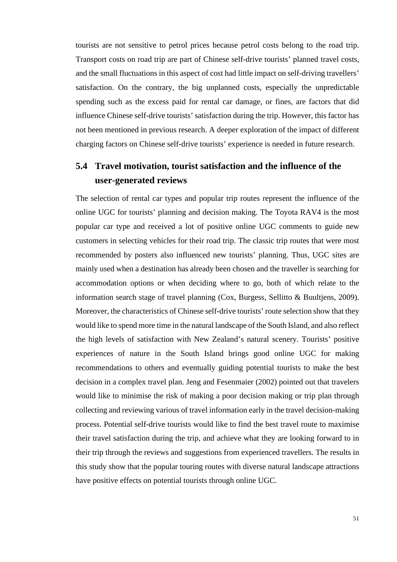tourists are not sensitive to petrol prices because petrol costs belong to the road trip. Transport costs on road trip are part of Chinese self-drive tourists' planned travel costs, and the small fluctuations in this aspect of cost had little impact on self-driving travellers' satisfaction. On the contrary, the big unplanned costs, especially the unpredictable spending such as the excess paid for rental car damage, or fines, are factors that did influence Chinese self-drive tourists' satisfaction during the trip. However, this factor has not been mentioned in previous research. A deeper exploration of the impact of different charging factors on Chinese self-drive tourists' experience is needed in future research.

## **5.4 Travel motivation, tourist satisfaction and the influence of the user-generated reviews**

The selection of rental car types and popular trip routes represent the influence of the online UGC for tourists' planning and decision making. The Toyota RAV4 is the most popular car type and received a lot of positive online UGC comments to guide new customers in selecting vehicles for their road trip. The classic trip routes that were most recommended by posters also influenced new tourists' planning. Thus, UGC sites are mainly used when a destination has already been chosen and the traveller is searching for accommodation options or when deciding where to go, both of which relate to the information search stage of travel planning (Cox, Burgess, Sellitto & Buultjens, 2009). Moreover, the characteristics of Chinese self-drive tourists' route selection show that they would like to spend more time in the natural landscape of the South Island, and also reflect the high levels of satisfaction with New Zealand's natural scenery. Tourists' positive experiences of nature in the South Island brings good online UGC for making recommendations to others and eventually guiding potential tourists to make the best decision in a complex travel plan. Jeng and Fesenmaier (2002) pointed out that travelers would like to minimise the risk of making a poor decision making or trip plan through collecting and reviewing various of travel information early in the travel decision-making process. Potential self-drive tourists would like to find the best travel route to maximise their travel satisfaction during the trip, and achieve what they are looking forward to in their trip through the reviews and suggestions from experienced travellers. The results in this study show that the popular touring routes with diverse natural landscape attractions have positive effects on potential tourists through online UGC.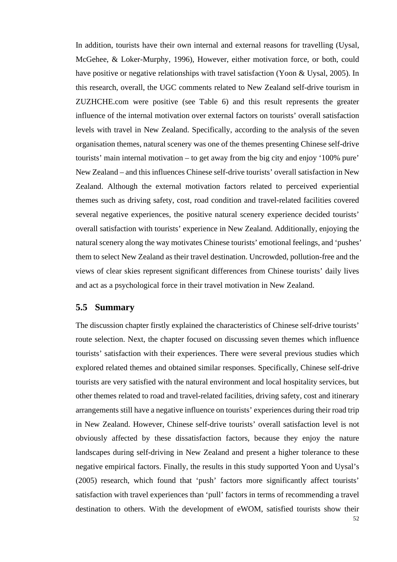In addition, tourists have their own internal and external reasons for travelling (Uysal, McGehee, & Loker-Murphy, 1996), However, either motivation force, or both, could have positive or negative relationships with travel satisfaction (Yoon & Uysal, 2005). In this research, overall, the UGC comments related to New Zealand self-drive tourism in ZUZHCHE.com were positive (see [Table 6\)](#page-51-0) and this result represents the greater influence of the internal motivation over external factors on tourists' overall satisfaction levels with travel in New Zealand. Specifically, according to the analysis of the seven organisation themes, natural scenery was one of the themes presenting Chinese self-drive tourists' main internal motivation – to get away from the big city and enjoy '100% pure' New Zealand – and this influences Chinese self-drive tourists' overall satisfaction in New Zealand. Although the external motivation factors related to perceived experiential themes such as driving safety, cost, road condition and travel-related facilities covered several negative experiences, the positive natural scenery experience decided tourists' overall satisfaction with tourists' experience in New Zealand. Additionally, enjoying the natural scenery along the way motivates Chinese tourists' emotional feelings, and 'pushes' them to select New Zealand as their travel destination. Uncrowded, pollution-free and the views of clear skies represent significant differences from Chinese tourists' daily lives and act as a psychological force in their travel motivation in New Zealand.

### **5.5 Summary**

The discussion chapter firstly explained the characteristics of Chinese self-drive tourists' route selection. Next, the chapter focused on discussing seven themes which influence tourists' satisfaction with their experiences. There were several previous studies which explored related themes and obtained similar responses. Specifically, Chinese self-drive tourists are very satisfied with the natural environment and local hospitality services, but other themes related to road and travel-related facilities, driving safety, cost and itinerary arrangements still have a negative influence on tourists' experiences during their road trip in New Zealand. However, Chinese self-drive tourists' overall satisfaction level is not obviously affected by these dissatisfaction factors, because they enjoy the nature landscapes during self-driving in New Zealand and present a higher tolerance to these negative empirical factors. Finally, the results in this study supported Yoon and Uysal's (2005) research, which found that 'push' factors more significantly affect tourists' satisfaction with travel experiences than 'pull' factors in terms of recommending a travel destination to others. With the development of eWOM, satisfied tourists show their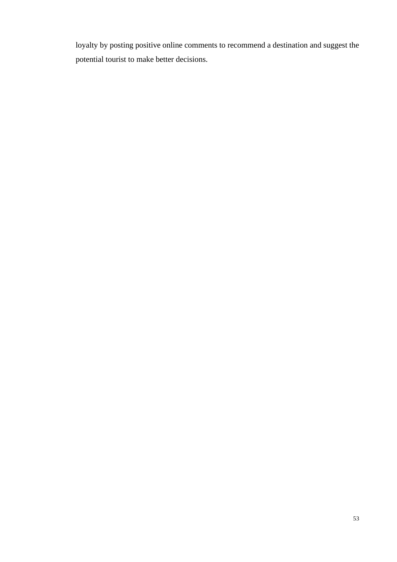loyalty by posting positive online comments to recommend a destination and suggest the potential tourist to make better decisions.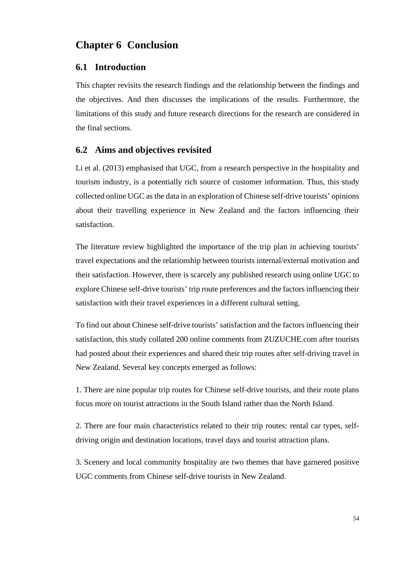## **Chapter 6 Conclusion**

#### **6.1 Introduction**

This chapter revisits the research findings and the relationship between the findings and the objectives. And then discusses the implications of the results. Furthermore, the limitations of this study and future research directions for the research are considered in the final sections.

### **6.2 Aims and objectives revisited**

Li et al. (2013) emphasised that UGC, from a research perspective in the hospitality and tourism industry, is a potentially rich source of customer information. Thus, this study collected online UGC as the data in an exploration of Chinese self-drive tourists' opinions about their travelling experience in New Zealand and the factors influencing their satisfaction.

The literature review highlighted the importance of the trip plan in achieving tourists' travel expectations and the relationship between tourists internal/external motivation and their satisfaction. However, there is scarcely any published research using online UGC to explore Chinese self-drive tourists' trip route preferences and the factors influencing their satisfaction with their travel experiences in a different cultural setting.

To find out about Chinese self-drive tourists' satisfaction and the factors influencing their satisfaction, this study collated 200 online comments from ZUZUCHE.com after tourists had posted about their experiences and shared their trip routes after self-driving travel in New Zealand. Several key concepts emerged as follows:

1. There are nine popular trip routes for Chinese self-drive tourists, and their route plans focus more on tourist attractions in the South Island rather than the North Island.

2. There are four main characteristics related to their trip routes: rental car types, selfdriving origin and destination locations, travel days and tourist attraction plans.

3. Scenery and local community hospitality are two themes that have garnered positive UGC comments from Chinese self-drive tourists in New Zealand.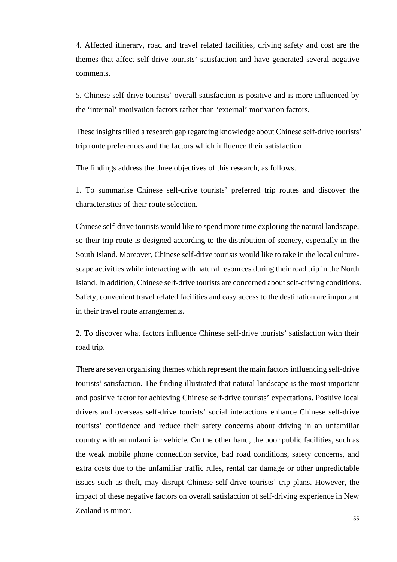4. Affected itinerary, road and travel related facilities, driving safety and cost are the themes that affect self-drive tourists' satisfaction and have generated several negative comments.

5. Chinese self-drive tourists' overall satisfaction is positive and is more influenced by the 'internal' motivation factors rather than 'external' motivation factors.

These insights filled a research gap regarding knowledge about Chinese self-drive tourists' trip route preferences and the factors which influence their satisfaction

The findings address the three objectives of this research, as follows.

1. To summarise Chinese self-drive tourists' preferred trip routes and discover the characteristics of their route selection.

Chinese self-drive tourists would like to spend more time exploring the natural landscape, so their trip route is designed according to the distribution of scenery, especially in the South Island. Moreover, Chinese self-drive tourists would like to take in the local culturescape activities while interacting with natural resources during their road trip in the North Island. In addition, Chinese self-drive tourists are concerned about self-driving conditions. Safety, convenient travel related facilities and easy access to the destination are important in their travel route arrangements.

2. To discover what factors influence Chinese self-drive tourists' satisfaction with their road trip.

There are seven organising themes which represent the main factors influencing self-drive tourists' satisfaction. The finding illustrated that natural landscape is the most important and positive factor for achieving Chinese self-drive tourists' expectations. Positive local drivers and overseas self-drive tourists' social interactions enhance Chinese self-drive tourists' confidence and reduce their safety concerns about driving in an unfamiliar country with an unfamiliar vehicle. On the other hand, the poor public facilities, such as the weak mobile phone connection service, bad road conditions, safety concerns, and extra costs due to the unfamiliar traffic rules, rental car damage or other unpredictable issues such as theft, may disrupt Chinese self-drive tourists' trip plans. However, the impact of these negative factors on overall satisfaction of self-driving experience in New Zealand is minor.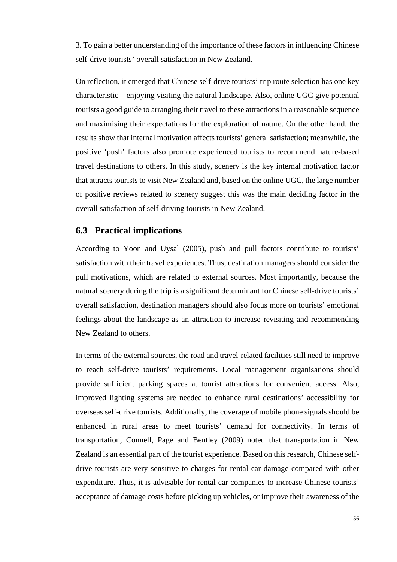3. To gain a better understanding of the importance of these factors in influencing Chinese self-drive tourists' overall satisfaction in New Zealand.

On reflection, it emerged that Chinese self-drive tourists' trip route selection has one key characteristic – enjoying visiting the natural landscape. Also, online UGC give potential tourists a good guide to arranging their travel to these attractions in a reasonable sequence and maximising their expectations for the exploration of nature. On the other hand, the results show that internal motivation affects tourists' general satisfaction; meanwhile, the positive 'push' factors also promote experienced tourists to recommend nature-based travel destinations to others. In this study, scenery is the key internal motivation factor that attracts tourists to visit New Zealand and, based on the online UGC, the large number of positive reviews related to scenery suggest this was the main deciding factor in the overall satisfaction of self-driving tourists in New Zealand.

## **6.3 Practical implications**

According to Yoon and Uysal (2005), push and pull factors contribute to tourists' satisfaction with their travel experiences. Thus, destination managers should consider the pull motivations, which are related to external sources. Most importantly, because the natural scenery during the trip is a significant determinant for Chinese self-drive tourists' overall satisfaction, destination managers should also focus more on tourists' emotional feelings about the landscape as an attraction to increase revisiting and recommending New Zealand to others.

In terms of the external sources, the road and travel-related facilities still need to improve to reach self-drive tourists' requirements. Local management organisations should provide sufficient parking spaces at tourist attractions for convenient access. Also, improved lighting systems are needed to enhance rural destinations' accessibility for overseas self-drive tourists. Additionally, the coverage of mobile phone signals should be enhanced in rural areas to meet tourists' demand for connectivity. In terms of transportation, Connell, Page and Bentley (2009) noted that transportation in New Zealand is an essential part of the tourist experience. Based on this research, Chinese selfdrive tourists are very sensitive to charges for rental car damage compared with other expenditure. Thus, it is advisable for rental car companies to increase Chinese tourists' acceptance of damage costs before picking up vehicles, or improve their awareness of the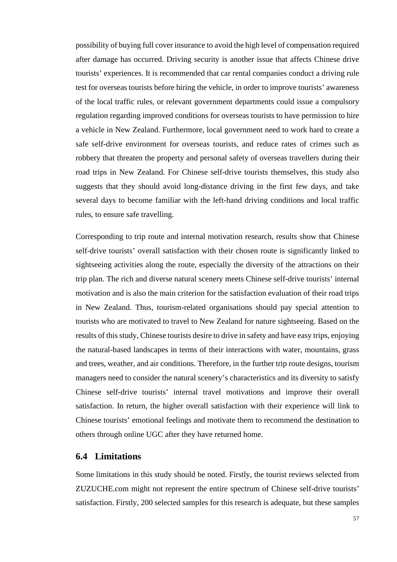possibility of buying full cover insurance to avoid the high level of compensation required after damage has occurred. Driving security is another issue that affects Chinese drive tourists' experiences. It is recommended that car rental companies conduct a driving rule test for overseas tourists before hiring the vehicle, in order to improve tourists' awareness of the local traffic rules, or relevant government departments could issue a compulsory regulation regarding improved conditions for overseas tourists to have permission to hire a vehicle in New Zealand. Furthermore, local government need to work hard to create a safe self-drive environment for overseas tourists, and reduce rates of crimes such as robbery that threaten the property and personal safety of overseas travellers during their road trips in New Zealand. For Chinese self-drive tourists themselves, this study also suggests that they should avoid long-distance driving in the first few days, and take several days to become familiar with the left-hand driving conditions and local traffic rules, to ensure safe travelling.

Corresponding to trip route and internal motivation research, results show that Chinese self-drive tourists' overall satisfaction with their chosen route is significantly linked to sightseeing activities along the route, especially the diversity of the attractions on their trip plan. The rich and diverse natural scenery meets Chinese self-drive tourists' internal motivation and is also the main criterion for the satisfaction evaluation of their road trips in New Zealand. Thus, tourism-related organisations should pay special attention to tourists who are motivated to travel to New Zealand for nature sightseeing. Based on the results of this study, Chinese tourists desire to drive in safety and have easy trips, enjoying the natural-based landscapes in terms of their interactions with water, mountains, grass and trees, weather, and air conditions. Therefore, in the further trip route designs, tourism managers need to consider the natural scenery's characteristics and its diversity to satisfy Chinese self-drive tourists' internal travel motivations and improve their overall satisfaction. In return, the higher overall satisfaction with their experience will link to Chinese tourists' emotional feelings and motivate them to recommend the destination to others through online UGC after they have returned home.

## **6.4 Limitations**

Some limitations in this study should be noted. Firstly, the tourist reviews selected from ZUZUCHE.com might not represent the entire spectrum of Chinese self-drive tourists' satisfaction. Firstly, 200 selected samples for this research is adequate, but these samples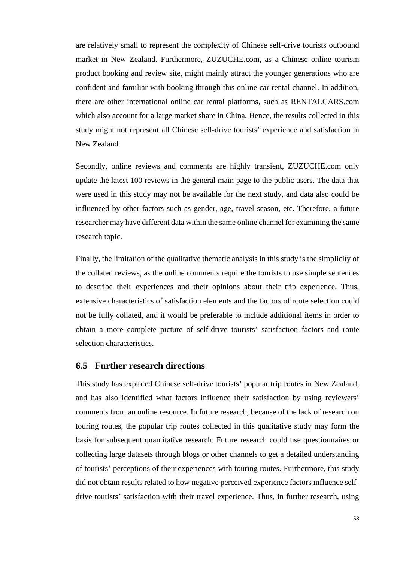are relatively small to represent the complexity of Chinese self-drive tourists outbound market in New Zealand. Furthermore, ZUZUCHE.com, as a Chinese online tourism product booking and review site, might mainly attract the younger generations who are confident and familiar with booking through this online car rental channel. In addition, there are other international online car rental platforms, such as RENTALCARS.com which also account for a large market share in China. Hence, the results collected in this study might not represent all Chinese self-drive tourists' experience and satisfaction in New Zealand.

Secondly, online reviews and comments are highly transient, ZUZUCHE.com only update the latest 100 reviews in the general main page to the public users. The data that were used in this study may not be available for the next study, and data also could be influenced by other factors such as gender, age, travel season, etc. Therefore, a future researcher may have different data within the same online channel for examining the same research topic.

Finally, the limitation of the qualitative thematic analysis in this study is the simplicity of the collated reviews, as the online comments require the tourists to use simple sentences to describe their experiences and their opinions about their trip experience. Thus, extensive characteristics of satisfaction elements and the factors of route selection could not be fully collated, and it would be preferable to include additional items in order to obtain a more complete picture of self-drive tourists' satisfaction factors and route selection characteristics.

#### **6.5 Further research directions**

This study has explored Chinese self-drive tourists' popular trip routes in New Zealand, and has also identified what factors influence their satisfaction by using reviewers' comments from an online resource. In future research, because of the lack of research on touring routes, the popular trip routes collected in this qualitative study may form the basis for subsequent quantitative research. Future research could use questionnaires or collecting large datasets through blogs or other channels to get a detailed understanding of tourists' perceptions of their experiences with touring routes. Furthermore, this study did not obtain results related to how negative perceived experience factors influence selfdrive tourists' satisfaction with their travel experience. Thus, in further research, using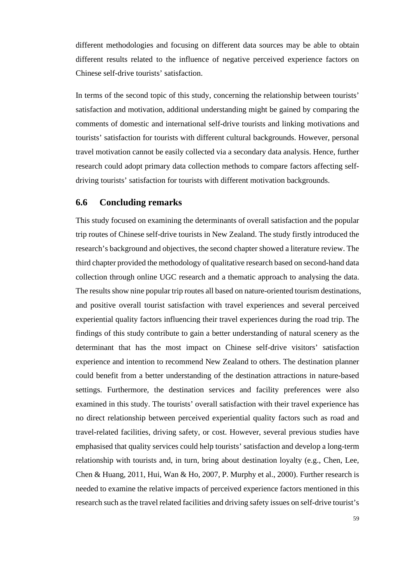different methodologies and focusing on different data sources may be able to obtain different results related to the influence of negative perceived experience factors on Chinese self-drive tourists' satisfaction.

In terms of the second topic of this study, concerning the relationship between tourists' satisfaction and motivation, additional understanding might be gained by comparing the comments of domestic and international self-drive tourists and linking motivations and tourists' satisfaction for tourists with different cultural backgrounds. However, personal travel motivation cannot be easily collected via a secondary data analysis. Hence, further research could adopt primary data collection methods to compare factors affecting selfdriving tourists' satisfaction for tourists with different motivation backgrounds.

## **6.6 Concluding remarks**

This study focused on examining the determinants of overall satisfaction and the popular trip routes of Chinese self-drive tourists in New Zealand. The study firstly introduced the research's background and objectives, the second chapter showed a literature review. The third chapter provided the methodology of qualitative research based on second-hand data collection through online UGC research and a thematic approach to analysing the data. The results show nine popular trip routes all based on nature-oriented tourism destinations, and positive overall tourist satisfaction with travel experiences and several perceived experiential quality factors influencing their travel experiences during the road trip. The findings of this study contribute to gain a better understanding of natural scenery as the determinant that has the most impact on Chinese self-drive visitors' satisfaction experience and intention to recommend New Zealand to others. The destination planner could benefit from a better understanding of the destination attractions in nature-based settings. Furthermore, the destination services and facility preferences were also examined in this study. The tourists' overall satisfaction with their travel experience has no direct relationship between perceived experiential quality factors such as road and travel-related facilities, driving safety, or cost. However, several previous studies have emphasised that quality services could help tourists' satisfaction and develop a long-term relationship with tourists and, in turn, bring about destination loyalty (e.g., Chen, Lee, Chen & Huang, 2011, Hui, Wan & Ho, 2007, P. Murphy et al., 2000). Further research is needed to examine the relative impacts of perceived experience factors mentioned in this research such as the travel related facilities and driving safety issues on self-drive tourist's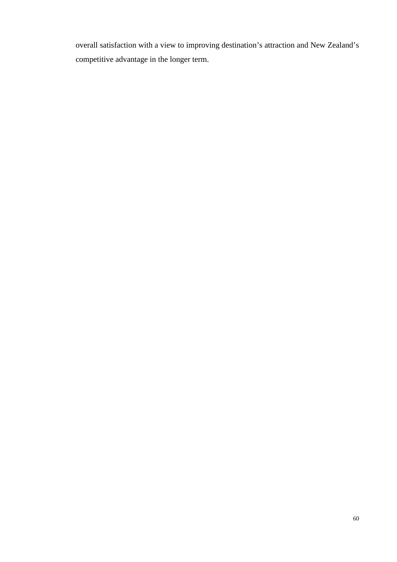overall satisfaction with a view to improving destination's attraction and New Zealand's competitive advantage in the longer term.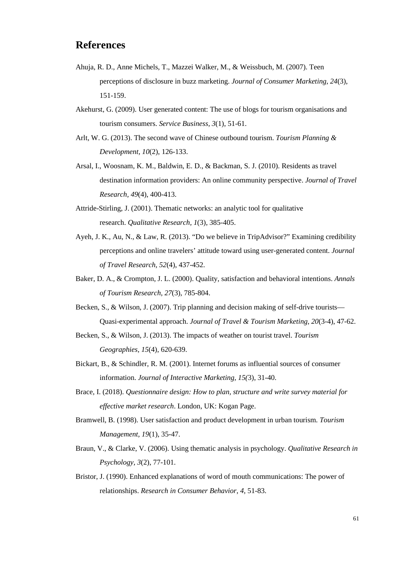## **References**

- Ahuja, R. D., Anne Michels, T., Mazzei Walker, M., & Weissbuch, M. (2007). Teen perceptions of disclosure in buzz marketing. *Journal of Consumer Marketing, 24*(3), 151-159.
- Akehurst, G. (2009). User generated content: The use of blogs for tourism organisations and tourism consumers. *Service Business, 3*(1), 51-61.
- Arlt, W. G. (2013). The second wave of Chinese outbound tourism. *Tourism Planning & Development, 10*(2), 126-133.
- Arsal, I., Woosnam, K. M., Baldwin, E. D., & Backman, S. J. (2010). Residents as travel destination information providers: An online community perspective. *Journal of Travel Research, 49*(4), 400-413.
- Attride-Stirling, J. (2001). Thematic networks: an analytic tool for qualitative research. *Qualitative Research, 1*(3), 385-405.
- Ayeh, J. K., Au, N., & Law, R. (2013). "Do we believe in TripAdvisor?" Examining credibility perceptions and online travelers' attitude toward using user-generated content. *Journal of Travel Research, 52*(4), 437-452.
- Baker, D. A., & Crompton, J. L. (2000). Quality, satisfaction and behavioral intentions. *Annals of Tourism Research, 27*(3), 785-804.
- Becken, S., & Wilson, J. (2007). Trip planning and decision making of self-drive tourists— Quasi-experimental approach. *Journal of Travel & Tourism Marketing, 20*(3-4), 47-62.
- Becken, S., & Wilson, J. (2013). The impacts of weather on tourist travel. *Tourism Geographies, 15*(4), 620-639.
- Bickart, B., & Schindler, R. M. (2001). Internet forums as influential sources of consumer information. *Journal of Interactive Marketing, 15(*3), 31-40.
- Brace, I. (2018). *Questionnaire design: How to plan, structure and write survey material for effective market research*. London, UK: Kogan Page.
- Bramwell, B. (1998). User satisfaction and product development in urban tourism. *Tourism Management, 19*(1), 35-47.
- Braun, V., & Clarke, V. (2006). Using thematic analysis in psychology. *Qualitative Research in Psychology, 3*(2), 77-101.
- Bristor, J. (1990). Enhanced explanations of word of mouth communications: The power of relationships. *Research in Consumer Behavior*, *4*, 51-83.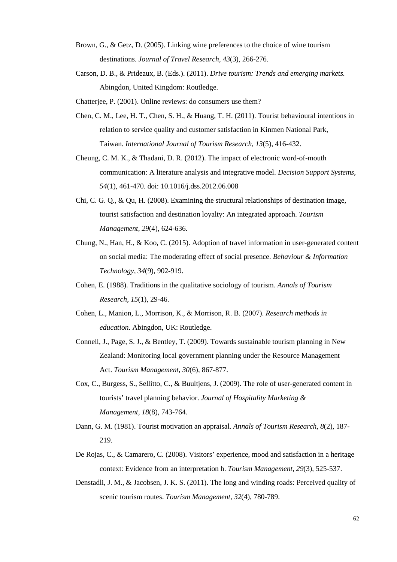- Brown, G., & Getz, D. (2005). Linking wine preferences to the choice of wine tourism destinations. *Journal of Travel Research, 43*(3), 266-276.
- Carson, D. B., & Prideaux, B. (Eds.). (2011). *Drive tourism: Trends and emerging markets.* Abingdon, United Kingdom: Routledge.
- Chatterjee, P. (2001). Online reviews: do consumers use them?
- Chen, C. M., Lee, H. T., Chen, S. H., & Huang, T. H. (2011). Tourist behavioural intentions in relation to service quality and customer satisfaction in Kinmen National Park, Taiwan. *International Journal of Tourism Research, 13*(5), 416-432.
- Cheung, C. M. K., & Thadani, D. R. (2012). The impact of electronic word-of-mouth communication: A literature analysis and integrative model. *Decision Support Systems, 54*(1), 461-470. doi: 10.1016/j.dss.2012.06.008
- Chi, C. G. Q., & Qu, H. (2008). Examining the structural relationships of destination image, tourist satisfaction and destination loyalty: An integrated approach. *Tourism Management, 29*(4), 624-636.
- Chung, N., Han, H., & Koo, C. (2015). Adoption of travel information in user-generated content on social media: The moderating effect of social presence. *Behaviour & Information Technology, 34*(9), 902-919.
- Cohen, E. (1988). Traditions in the qualitative sociology of tourism. *Annals of Tourism Research, 15*(1), 29-46.
- Cohen, L., Manion, L., Morrison, K., & Morrison, R. B. (2007). *Research methods in education*. Abingdon, UK: Routledge.
- Connell, J., Page, S. J., & Bentley, T. (2009). Towards sustainable tourism planning in New Zealand: Monitoring local government planning under the Resource Management Act. *Tourism Management, 30*(6), 867-877.
- Cox, C., Burgess, S., Sellitto, C., & Buultjens, J. (2009). The role of user-generated content in tourists' travel planning behavior. *Journal of Hospitality Marketing & Management, 18*(8), 743-764.
- Dann, G. M. (1981). Tourist motivation an appraisal. *Annals of Tourism Research, 8*(2), 187- 219.
- De Rojas, C., & Camarero, C. (2008). Visitors' experience, mood and satisfaction in a heritage context: Evidence from an interpretation h. *Tourism Management, 29*(3), 525-537.
- Denstadli, J. M., & Jacobsen, J. K. S. (2011). The long and winding roads: Perceived quality of scenic tourism routes. *Tourism Management, 32*(4), 780-789.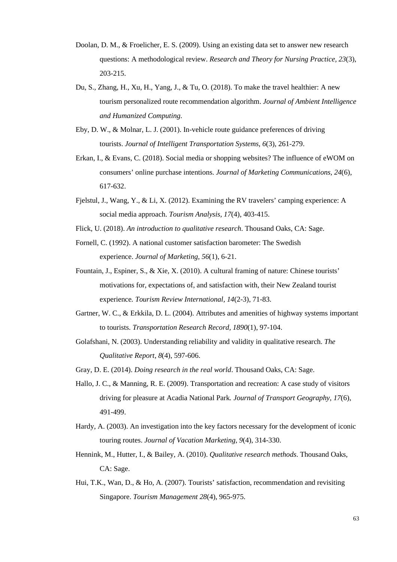- Doolan, D. M., & Froelicher, E. S. (2009). Using an existing data set to answer new research questions: A methodological review. *Research and Theory for Nursing Practice, 23*(3), 203-215.
- Du, S., Zhang, H., Xu, H., Yang, J., & Tu, O. (2018). To make the travel healthier: A new tourism personalized route recommendation algorithm. *Journal of Ambient Intelligence and Humanized Computing*.
- Eby, D. W., & Molnar, L. J. (2001). In-vehicle route guidance preferences of driving tourists. *Journal of Intelligent Transportation Systems, 6*(3), 261-279.
- Erkan, I., & Evans, C. (2018). Social media or shopping websites? The influence of eWOM on consumers' online purchase intentions. *Journal of Marketing Communications, 24*(6), 617-632.
- Fjelstul, J., Wang, Y., & Li, X. (2012). Examining the RV travelers' camping experience: A social media approach. *Tourism Analysis, 17*(4), 403-415.
- Flick, U. (2018). *An introduction to qualitative research*. Thousand Oaks, CA: Sage.
- Fornell, C. (1992). A national customer satisfaction barometer: The Swedish experience. *Journal of Marketing, 56*(1), 6-21.
- Fountain, J., Espiner, S., & Xie, X. (2010). A cultural framing of nature: Chinese tourists' motivations for, expectations of, and satisfaction with, their New Zealand tourist experience*. Tourism Review International, 14*(2-3), 71-83.
- Gartner, W. C., & Erkkila, D. L. (2004). Attributes and amenities of highway systems important to tourists. *Transportation Research Record, 1890*(1), 97-104.
- Golafshani, N. (2003). Understanding reliability and validity in qualitative research. *The Qualitative Report, 8*(4), 597-606.
- Gray, D. E. (2014). *Doing research in the real world*. Thousand Oaks, CA: Sage.
- Hallo, J. C., & Manning, R. E. (2009). Transportation and recreation: A case study of visitors driving for pleasure at Acadia National Park*. Journal of Transport Geography, 17*(6), 491-499.
- Hardy, A. (2003). An investigation into the key factors necessary for the development of iconic touring routes. *Journal of Vacation Marketing, 9*(4), 314-330.
- Hennink, M., Hutter, I., & Bailey, A. (2010). *Qualitative research methods*. Thousand Oaks, CA: Sage.
- Hui, T.K., Wan, D., & Ho, A. (2007). Tourists' satisfaction, recommendation and revisiting Singapore. *Tourism Management 28*(4), 965-975.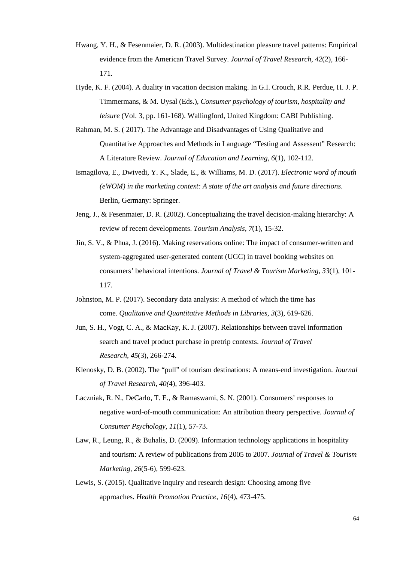- Hwang, Y. H., & Fesenmaier, D. R. (2003). Multidestination pleasure travel patterns: Empirical evidence from the American Travel Survey. *Journal of Travel Research, 42*(2), 166- 171.
- Hyde, K. F. (2004). A duality in vacation decision making. In G.I. Crouch, R.R. Perdue, H. J. P. Timmermans, & M. Uysal (Eds.), *Consumer psychology of tourism, hospitality and leisure* (Vol. 3, pp. 161-168). Wallingford, United Kingdom: CABI Publishing.
- Rahman, M. S. ( 2017). The Advantage and Disadvantages of Using Qualitative and Quantitative Approaches and Methods in Language "Testing and Assessent" Research: A Literature Review. *Journal of Education and Learning, 6*(1), 102-112.
- Ismagilova, E., Dwivedi, Y. K., Slade, E., & Williams, M. D. (2017). *Electronic word of mouth (eWOM) in the marketing context: A state of the art analysis and future directions*. Berlin, Germany: Springer.
- Jeng, J., & Fesenmaier, D. R. (2002). Conceptualizing the travel decision-making hierarchy: A review of recent developments. *Tourism Analysis, 7*(1), 15-32.
- Jin, S. V., & Phua, J. (2016). Making reservations online: The impact of consumer-written and system-aggregated user-generated content (UGC) in travel booking websites on consumers' behavioral intentions. *Journal of Travel & Tourism Marketing, 33*(1), 101- 117.
- Johnston, M. P. (2017). Secondary data analysis: A method of which the time has come. *Qualitative and Quantitative Methods in Libraries, 3*(3), 619-626.
- Jun, S. H., Vogt, C. A., & MacKay, K. J. (2007). Relationships between travel information search and travel product purchase in pretrip contexts. *Journal of Travel Research, 45*(3), 266-274.
- Klenosky, D. B. (2002). The "pull" of tourism destinations: A means-end investigation. *Journal of Travel Research, 40(*4), 396-403.
- Laczniak, R. N., DeCarlo, T. E., & Ramaswami, S. N. (2001). Consumers' responses to negative word-of-mouth communication: An attribution theory perspective. *Journal of Consumer Psychology, 11*(1), 57-73.
- Law, R., Leung, R., & Buhalis, D. (2009). Information technology applications in hospitality and tourism: A review of publications from 2005 to 2007*. Journal of Travel & Tourism Marketing, 26*(5-6), 599-623.
- Lewis, S. (2015). Qualitative inquiry and research design: Choosing among five approaches. *Health Promotion Practice, 16*(4), 473-475.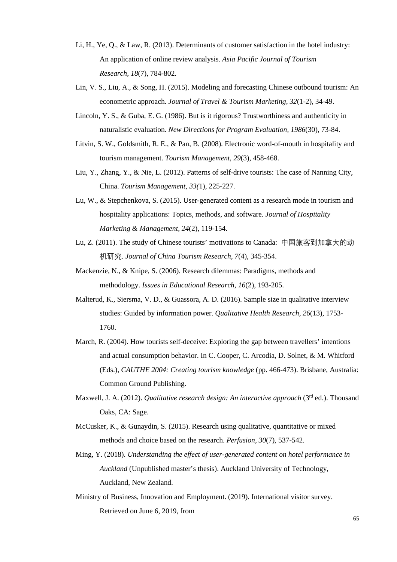- Li, H., Ye, Q., & Law, R. (2013). Determinants of customer satisfaction in the hotel industry: An application of online review analysis. *Asia Pacific Journal of Tourism Research, 18*(7), 784-802.
- Lin, V. S., Liu, A., & Song, H. (2015). Modeling and forecasting Chinese outbound tourism: An econometric approach. *Journal of Travel & Tourism Marketing, 32*(1-2), 34-49.
- Lincoln, Y. S., & Guba, E. G. (1986). But is it rigorous? Trustworthiness and authenticity in naturalistic evaluation. *New Directions for Program Evaluation, 1986*(30), 73-84.
- Litvin, S. W., Goldsmith, R. E., & Pan, B. (2008). Electronic word-of-mouth in hospitality and tourism management. *Tourism Management, 29*(3), 458-468.
- Liu, Y., Zhang, Y., & Nie, L. (2012). Patterns of self-drive tourists: The case of Nanning City, China. *Tourism Management, 33(*1), 225-227.
- Lu, W., & Stepchenkova, S. (2015). User-generated content as a research mode in tourism and hospitality applications: Topics, methods, and software. *Journal of Hospitality Marketing & Management, 24*(2), 119-154.
- Lu, Z. (2011). The study of Chinese tourists' motivations to Canada: 中国旅客到加拿大的动 机研究. *Journal of China Tourism Research, 7*(4), 345-354.
- Mackenzie, N., & Knipe, S. (2006). Research dilemmas: Paradigms, methods and methodology. *Issues in Educational Research, 16*(2), 193-205.
- Malterud, K., Siersma, V. D., & Guassora, A. D. (2016). Sample size in qualitative interview studies: Guided by information power. *Qualitative Health Research, 26*(13), 1753- 1760.
- March, R. (2004). How tourists self-deceive: Exploring the gap between travellers' intentions and actual consumption behavior. In C. Cooper, C. Arcodia, D. Solnet, & M. Whitford (Eds.), *CAUTHE 2004: Creating tourism knowledge* (pp. 466-473). Brisbane, Australia: Common Ground Publishing.
- Maxwell, J. A. (2012). *Qualitative research design: An interactive approach* (3rd ed.). Thousand Oaks, CA: Sage.
- McCusker, K., & Gunaydin, S. (2015). Research using qualitative, quantitative or mixed methods and choice based on the research. *Perfusion, 30*(7), 537-542.
- Ming, Y. (2018). *Understanding the effect of user-generated content on hotel performance in Auckland* (Unpublished master's thesis). Auckland University of Technology, Auckland, New Zealand.
- Ministry of Business, Innovation and Employment. (2019). International visitor survey. Retrieved on June 6, 2019, from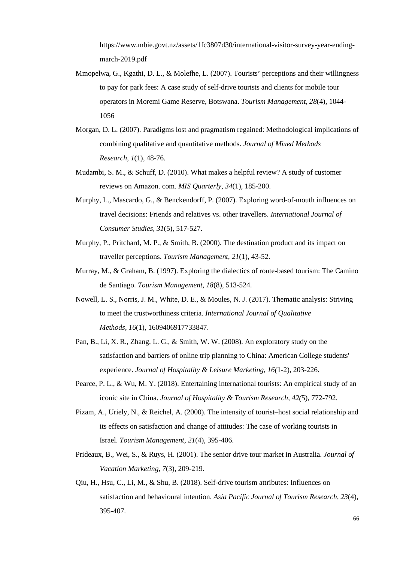[https://www.mbie.govt.nz/assets/1fc3807d30/international-visitor-survey-year-ending](https://www.mbie.govt.nz/assets/1fc3807d30/international-visitor-survey-year-ending-march-2019.pdf)[march-2019.pdf](https://www.mbie.govt.nz/assets/1fc3807d30/international-visitor-survey-year-ending-march-2019.pdf)

- Mmopelwa, G., Kgathi, D. L., & Molefhe, L. (2007). Tourists' perceptions and their willingness to pay for park fees: A case study of self-drive tourists and clients for mobile tour operators in Moremi Game Reserve, Botswana. *Tourism Management, 28*(4), 1044- 1056
- Morgan, D. L. (2007). Paradigms lost and pragmatism regained: Methodological implications of combining qualitative and quantitative methods. *Journal of Mixed Methods Research, 1*(1), 48-76.
- Mudambi, S. M., & Schuff, D. (2010). What makes a helpful review? A study of customer reviews on Amazon. com. *MIS Quarterly, 34*(1), 185-200.
- Murphy, L., Mascardo, G., & Benckendorff, P. (2007). Exploring word-of-mouth influences on travel decisions: Friends and relatives vs. other travellers. *International Journal of Consumer Studies, 31*(5), 517-527.
- Murphy, P., Pritchard, M. P., & Smith, B. (2000). The destination product and its impact on traveller perceptions. *Tourism Management, 21*(1), 43-52.
- Murray, M., & Graham, B. (1997). Exploring the dialectics of route-based tourism: The Camino de Santiago. *Tourism Management, 18*(8), 513-524.
- Nowell, L. S., Norris, J. M., White, D. E., & Moules, N. J. (2017). Thematic analysis: Striving to meet the trustworthiness criteria. *International Journal of Qualitative Methods, 16*(1), 1609406917733847.
- Pan, B., Li, X. R., Zhang, L. G., & Smith, W. W. (2008). An exploratory study on the satisfaction and barriers of online trip planning to China: American College students' experience. *Journal of Hospitality & Leisure Marketing, 16(*1-2), 203-226.
- Pearce, P. L., & Wu, M. Y. (2018). Entertaining international tourists: An empirical study of an iconic site in China. *Journal of Hospitality & Tourism Research, 42(*5), 772-792.
- Pizam, A., Uriely, N., & Reichel, A. (2000). The intensity of tourist–host social relationship and its effects on satisfaction and change of attitudes: The case of working tourists in Israel. *Tourism Management, 21*(4), 395-406.
- Prideaux, B., Wei, S., & Ruys, H. (2001). The senior drive tour market in Australia. *Journal of Vacation Marketing, 7*(3), 209-219.
- Qiu, H., Hsu, C., Li, M., & Shu, B. (2018). Self-drive tourism attributes: Influences on satisfaction and behavioural intention. *Asia Pacific Journal of Tourism Research, 23*(4), 395-407.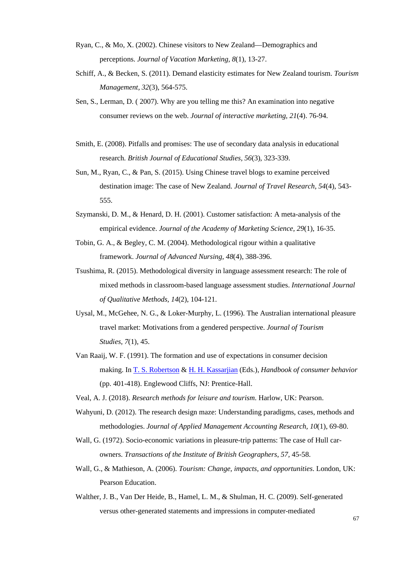- Ryan, C., & Mo, X. (2002). Chinese visitors to New Zealand—Demographics and perceptions. *Journal of Vacation Marketing, 8*(1), 13-27.
- Schiff, A., & Becken, S. (2011). Demand elasticity estimates for New Zealand tourism. *Tourism Management, 32*(3), 564-575.
- Sen, S., Lerman, D. ( 2007). Why are you telling me this? An examination into negative consumer reviews on the web. *Journal of interactive marketing, 21*(4). 76-94.
- Smith, E. (2008). Pitfalls and promises: The use of secondary data analysis in educational research*. British Journal of Educational Studies, 56*(3), 323-339.
- Sun, M., Ryan, C., & Pan, S. (2015). Using Chinese travel blogs to examine perceived destination image: The case of New Zealand. *Journal of Travel Research, 54*(4), 543- 555.
- Szymanski, D. M., & Henard, D. H. (2001). Customer satisfaction: A meta-analysis of the empirical evidence. *Journal of the Academy of Marketing Science, 29*(1), 16-35.
- Tobin, G. A., & Begley, C. M. (2004). Methodological rigour within a qualitative framework. *Journal of Advanced Nursing, 48*(4), 388-396.
- Tsushima, R. (2015). Methodological diversity in language assessment research: The role of mixed methods in classroom-based language assessment studies. *International Journal of Qualitative Methods, 14*(2), 104-121.
- Uysal, M., McGehee, N. G., & Loker-Murphy, L. (1996). The Australian international pleasure travel market: Motivations from a gendered perspective. *Journal of Tourism Studies, 7*(1), 45.
- Van Raaij, W. F. (1991). The formation and use of expectations in consumer decision making. In T. S. [Robertson](https://www.worldcat.org/search?q=au%3ARobertson%2C+Thomas+S.&qt=hot_author) & H. H. [Kassarjian](https://www.worldcat.org/search?q=au%3AKassarjian%2C+Harold+H.&qt=hot_author) (Eds.), *Handbook of consumer behavior* (pp. 401-418). Englewood Cliffs, NJ: Prentice-Hall.
- Veal, A. J. (2018). *Research methods for leisure and tourism*. Harlow, UK: Pearson.
- Wahyuni, D. (2012). The research design maze: Understanding paradigms, cases, methods and methodologies. *Journal of Applied Management Accounting Research, 10*(1), 69-80.
- Wall, G. (1972). Socio-economic variations in pleasure-trip patterns: The case of Hull carowners. *Transactions of the Institute of British Geographers*, *57,* 45-58.
- Wall, G., & Mathieson, A. (2006). *Tourism: Change, impacts, and opportunities*. London, UK: Pearson Education.
- Walther, J. B., Van Der Heide, B., Hamel, L. M., & Shulman, H. C. (2009). Self-generated versus other-generated statements and impressions in computer-mediated